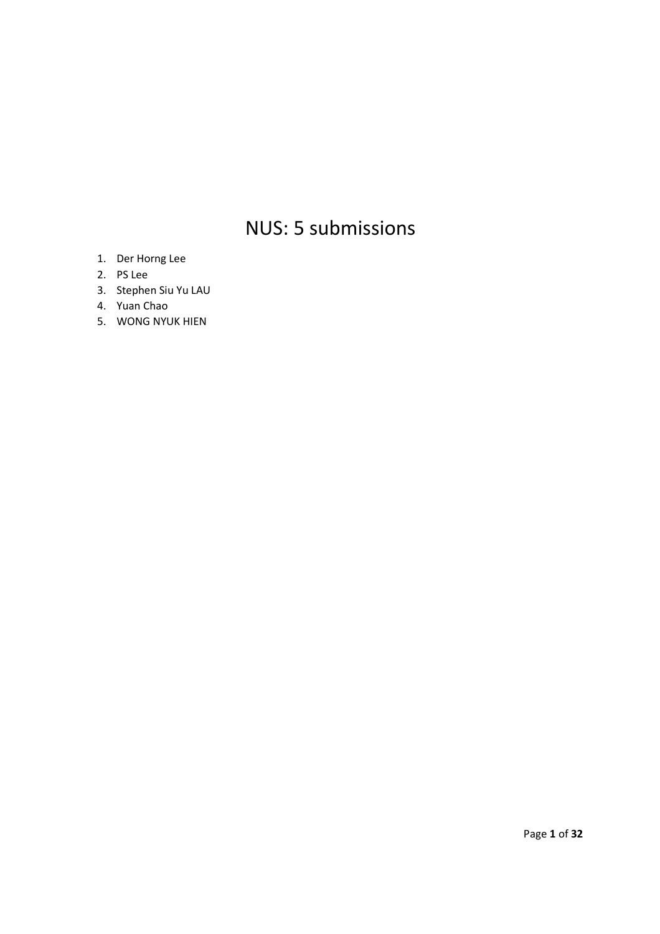# NUS: 5 submissions

- 1. Der Horng Lee
- 2. PS Lee
- 3. Stephen Siu Yu LAU
- 4. Yuan Chao
- 5. WONG NYUK HIEN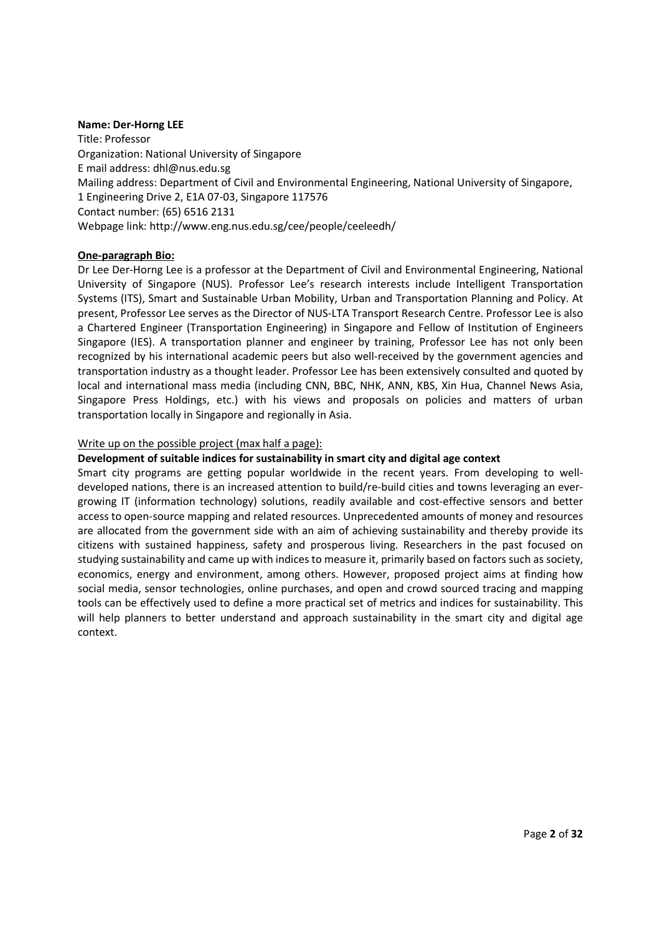#### **Name: Der-Horng LEE**

Title: Professor Organization: National University of Singapore E mail address: dhl@nus.edu.sg Mailing address: Department of Civil and Environmental Engineering, National University of Singapore, 1 Engineering Drive 2, E1A 07-03, Singapore 117576 Contact number: (65) 6516 2131 Webpage link: http://www.eng.nus.edu.sg/cee/people/ceeleedh/

## **One-paragraph Bio:**

Dr Lee Der-Horng Lee is a professor at the Department of Civil and Environmental Engineering, National University of Singapore (NUS). Professor Lee's research interests include Intelligent Transportation Systems (ITS), Smart and Sustainable Urban Mobility, Urban and Transportation Planning and Policy. At present, Professor Lee serves as the Director of NUS-LTA Transport Research Centre. Professor Lee is also a Chartered Engineer (Transportation Engineering) in Singapore and Fellow of Institution of Engineers Singapore (IES). A transportation planner and engineer by training, Professor Lee has not only been recognized by his international academic peers but also well-received by the government agencies and transportation industry as a thought leader. Professor Lee has been extensively consulted and quoted by local and international mass media (including CNN, BBC, NHK, ANN, KBS, Xin Hua, Channel News Asia, Singapore Press Holdings, etc.) with his views and proposals on policies and matters of urban transportation locally in Singapore and regionally in Asia.

## Write up on the possible project (max half a page):

## **Development of suitable indices for sustainability in smart city and digital age context**

Smart city programs are getting popular worldwide in the recent years. From developing to welldeveloped nations, there is an increased attention to build/re-build cities and towns leveraging an evergrowing IT (information technology) solutions, readily available and cost-effective sensors and better access to open-source mapping and related resources. Unprecedented amounts of money and resources are allocated from the government side with an aim of achieving sustainability and thereby provide its citizens with sustained happiness, safety and prosperous living. Researchers in the past focused on studying sustainability and came up with indices to measure it, primarily based on factors such as society, economics, energy and environment, among others. However, proposed project aims at finding how social media, sensor technologies, online purchases, and open and crowd sourced tracing and mapping tools can be effectively used to define a more practical set of metrics and indices for sustainability. This will help planners to better understand and approach sustainability in the smart city and digital age context.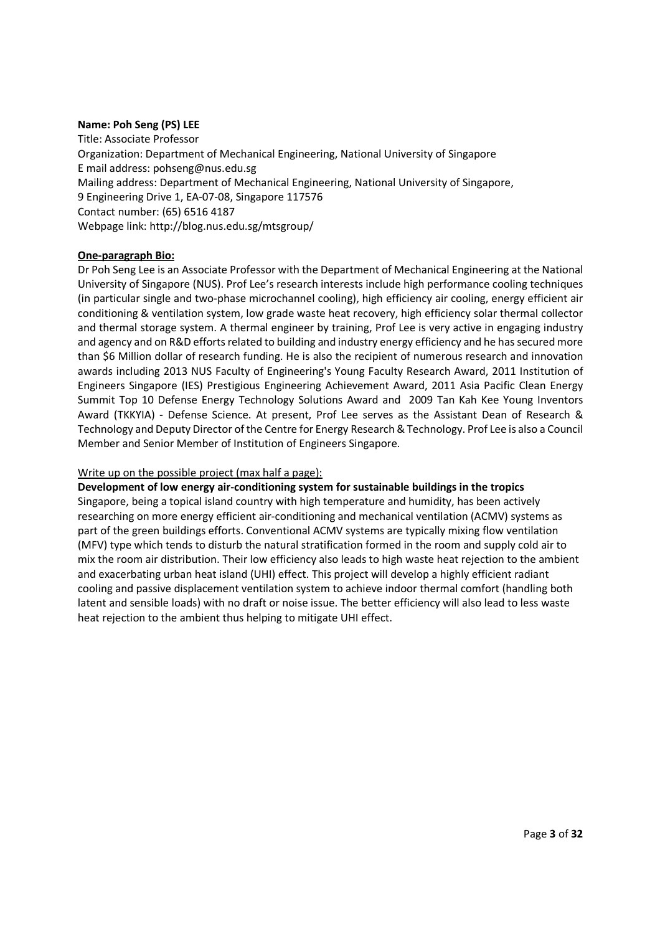## **Name: Poh Seng (PS) LEE**

Title: Associate Professor Organization: Department of Mechanical Engineering, National University of Singapore E mail address: pohseng@nus.edu.sg Mailing address: Department of Mechanical Engineering, National University of Singapore, 9 Engineering Drive 1, EA-07-08, Singapore 117576 Contact number: (65) 6516 4187 Webpage link: http://blog.nus.edu.sg/mtsgroup/

## **One-paragraph Bio:**

Dr Poh Seng Lee is an Associate Professor with the Department of Mechanical Engineering at the National University of Singapore (NUS). Prof Lee's research interests include high performance cooling techniques (in particular single and two-phase microchannel cooling), high efficiency air cooling, energy efficient air conditioning & ventilation system, low grade waste heat recovery, high efficiency solar thermal collector and thermal storage system. A thermal engineer by training, Prof Lee is very active in engaging industry and agency and on R&D efforts related to building and industry energy efficiency and he has secured more than \$6 Million dollar of research funding. He is also the recipient of numerous research and innovation awards including 2013 NUS Faculty of Engineering's Young Faculty Research Award, 2011 Institution of Engineers Singapore (IES) Prestigious Engineering Achievement Award, 2011 Asia Pacific Clean Energy Summit Top 10 Defense Energy Technology Solutions Award and 2009 Tan Kah Kee Young Inventors Award (TKKYIA) - Defense Science. At present, Prof Lee serves as the Assistant Dean of Research & Technology and Deputy Director of the Centre for Energy Research & Technology. Prof Lee is also a Council Member and Senior Member of Institution of Engineers Singapore.

#### Write up on the possible project (max half a page):

**Development of low energy air-conditioning system for sustainable buildings in the tropics** 

Singapore, being a topical island country with high temperature and humidity, has been actively researching on more energy efficient air-conditioning and mechanical ventilation (ACMV) systems as part of the green buildings efforts. Conventional ACMV systems are typically mixing flow ventilation (MFV) type which tends to disturb the natural stratification formed in the room and supply cold air to mix the room air distribution. Their low efficiency also leads to high waste heat rejection to the ambient and exacerbating urban heat island (UHI) effect. This project will develop a highly efficient radiant cooling and passive displacement ventilation system to achieve indoor thermal comfort (handling both latent and sensible loads) with no draft or noise issue. The better efficiency will also lead to less waste heat rejection to the ambient thus helping to mitigate UHI effect.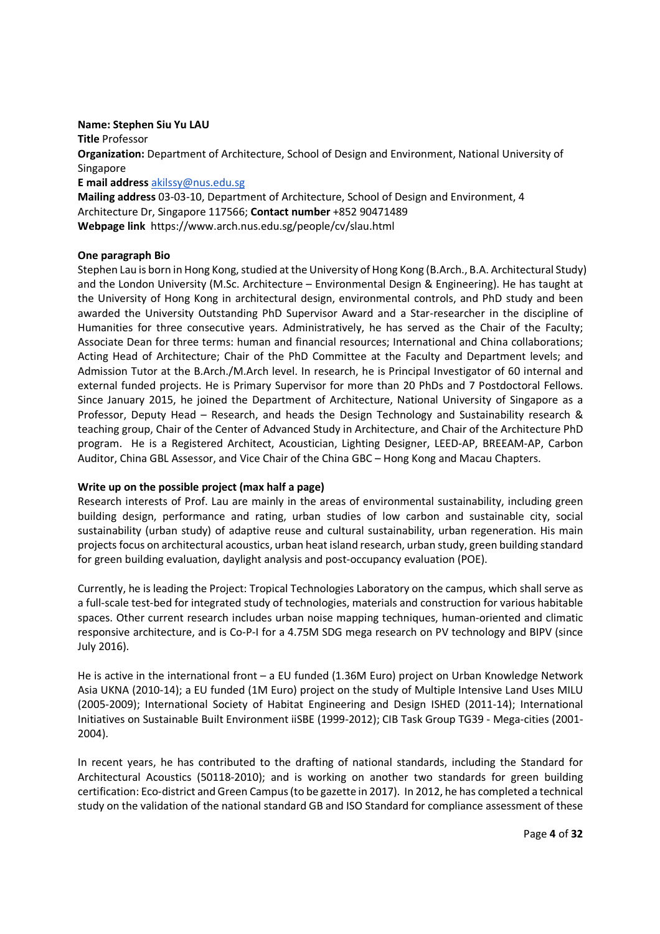#### **Name: Stephen Siu Yu LAU**

**Title** Professor **Organization:** Department of Architecture, School of Design and Environment, National University of Singapore **E mail address** akilssy@nus.edu.sg

**Mailing address** 03-03-10, Department of Architecture, School of Design and Environment, 4 Architecture Dr, Singapore 117566; **Contact number** +852 90471489 **Webpage link** https://www.arch.nus.edu.sg/people/cv/slau.html

## **One paragraph Bio**

Stephen Lau is born in Hong Kong, studied at the University of Hong Kong (B.Arch., B.A. Architectural Study) and the London University (M.Sc. Architecture – Environmental Design & Engineering). He has taught at the University of Hong Kong in architectural design, environmental controls, and PhD study and been awarded the University Outstanding PhD Supervisor Award and a Star-researcher in the discipline of Humanities for three consecutive years. Administratively, he has served as the Chair of the Faculty; Associate Dean for three terms: human and financial resources; International and China collaborations; Acting Head of Architecture; Chair of the PhD Committee at the Faculty and Department levels; and Admission Tutor at the B.Arch./M.Arch level. In research, he is Principal Investigator of 60 internal and external funded projects. He is Primary Supervisor for more than 20 PhDs and 7 Postdoctoral Fellows. Since January 2015, he joined the Department of Architecture, National University of Singapore as a Professor, Deputy Head – Research, and heads the Design Technology and Sustainability research & teaching group, Chair of the Center of Advanced Study in Architecture, and Chair of the Architecture PhD program. He is a Registered Architect, Acoustician, Lighting Designer, LEED-AP, BREEAM-AP, Carbon Auditor, China GBL Assessor, and Vice Chair of the China GBC – Hong Kong and Macau Chapters.

## **Write up on the possible project (max half a page)**

Research interests of Prof. Lau are mainly in the areas of environmental sustainability, including green building design, performance and rating, urban studies of low carbon and sustainable city, social sustainability (urban study) of adaptive reuse and cultural sustainability, urban regeneration. His main projects focus on architectural acoustics, urban heat island research, urban study, green building standard for green building evaluation, daylight analysis and post-occupancy evaluation (POE).

Currently, he is leading the Project: Tropical Technologies Laboratory on the campus, which shall serve as a full-scale test-bed for integrated study of technologies, materials and construction for various habitable spaces. Other current research includes urban noise mapping techniques, human-oriented and climatic responsive architecture, and is Co-P-I for a 4.75M SDG mega research on PV technology and BIPV (since July 2016).

He is active in the international front – a EU funded (1.36M Euro) project on Urban Knowledge Network Asia UKNA (2010-14); a EU funded (1M Euro) project on the study of Multiple Intensive Land Uses MILU (2005-2009); International Society of Habitat Engineering and Design ISHED (2011-14); International Initiatives on Sustainable Built Environment iiSBE (1999-2012); CIB Task Group TG39 - Mega-cities (2001- 2004).

In recent years, he has contributed to the drafting of national standards, including the Standard for Architectural Acoustics (50118-2010); and is working on another two standards for green building certification: Eco-district and Green Campus (to be gazette in 2017). In 2012, he has completed a technical study on the validation of the national standard GB and ISO Standard for compliance assessment of these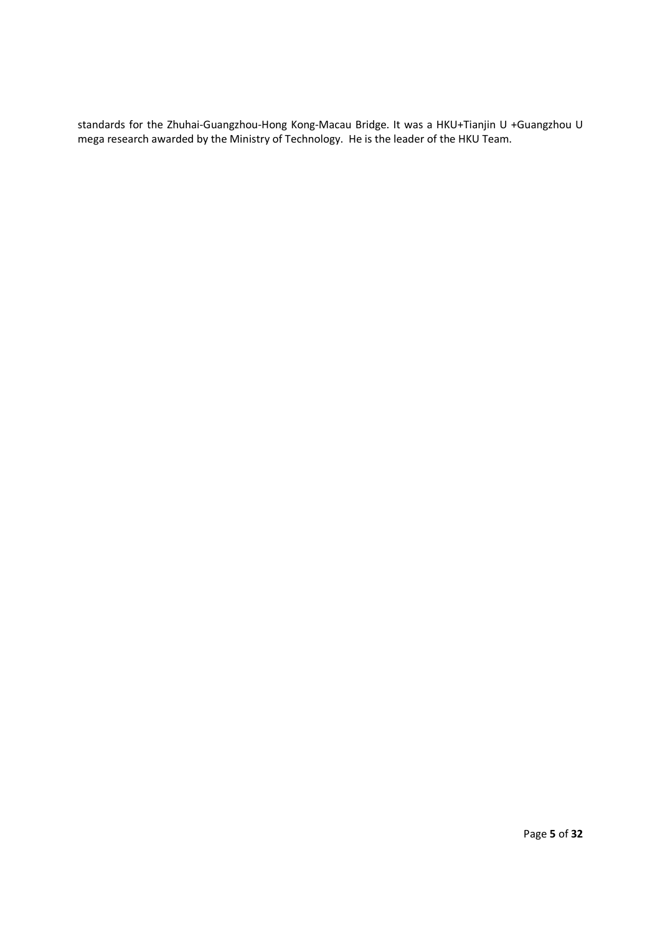standards for the Zhuhai-Guangzhou-Hong Kong-Macau Bridge. It was a HKU+Tianjin U +Guangzhou U mega research awarded by the Ministry of Technology. He is the leader of the HKU Team.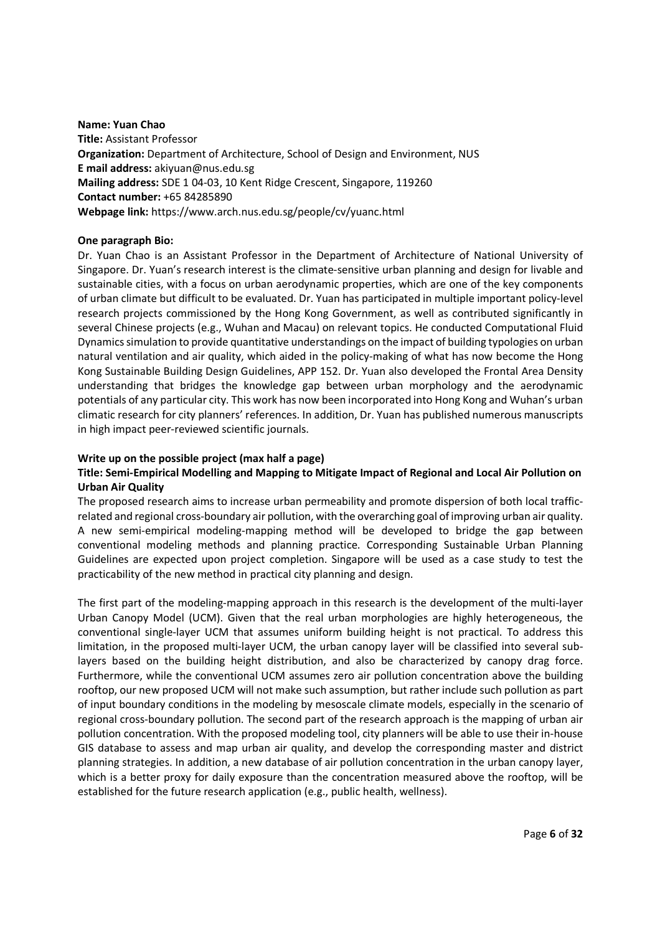#### **Name: Yuan Chao**

**Title:** Assistant Professor **Organization:** Department of Architecture, School of Design and Environment, NUS **E mail address:** akiyuan@nus.edu.sg **Mailing address:** SDE 1 04-03, 10 Kent Ridge Crescent, Singapore, 119260 **Contact number:** +65 84285890 **Webpage link:** https://www.arch.nus.edu.sg/people/cv/yuanc.html

#### **One paragraph Bio:**

Dr. Yuan Chao is an Assistant Professor in the Department of Architecture of National University of Singapore. Dr. Yuan's research interest is the climate-sensitive urban planning and design for livable and sustainable cities, with a focus on urban aerodynamic properties, which are one of the key components of urban climate but difficult to be evaluated. Dr. Yuan has participated in multiple important policy-level research projects commissioned by the Hong Kong Government, as well as contributed significantly in several Chinese projects (e.g., Wuhan and Macau) on relevant topics. He conducted Computational Fluid Dynamics simulation to provide quantitative understandings on the impact of building typologies on urban natural ventilation and air quality, which aided in the policy-making of what has now become the Hong Kong Sustainable Building Design Guidelines, APP 152. Dr. Yuan also developed the Frontal Area Density understanding that bridges the knowledge gap between urban morphology and the aerodynamic potentials of any particular city. This work has now been incorporated into Hong Kong and Wuhan's urban climatic research for city planners' references. In addition, Dr. Yuan has published numerous manuscripts in high impact peer-reviewed scientific journals.

#### **Write up on the possible project (max half a page)**

## **Title: Semi-Empirical Modelling and Mapping to Mitigate Impact of Regional and Local Air Pollution on Urban Air Quality**

The proposed research aims to increase urban permeability and promote dispersion of both local trafficrelated and regional cross-boundary air pollution, with the overarching goal of improving urban air quality. A new semi-empirical modeling-mapping method will be developed to bridge the gap between conventional modeling methods and planning practice. Corresponding Sustainable Urban Planning Guidelines are expected upon project completion. Singapore will be used as a case study to test the practicability of the new method in practical city planning and design.

The first part of the modeling-mapping approach in this research is the development of the multi-layer Urban Canopy Model (UCM). Given that the real urban morphologies are highly heterogeneous, the conventional single-layer UCM that assumes uniform building height is not practical. To address this limitation, in the proposed multi-layer UCM, the urban canopy layer will be classified into several sublayers based on the building height distribution, and also be characterized by canopy drag force. Furthermore, while the conventional UCM assumes zero air pollution concentration above the building rooftop, our new proposed UCM will not make such assumption, but rather include such pollution as part of input boundary conditions in the modeling by mesoscale climate models, especially in the scenario of regional cross-boundary pollution. The second part of the research approach is the mapping of urban air pollution concentration. With the proposed modeling tool, city planners will be able to use their in-house GIS database to assess and map urban air quality, and develop the corresponding master and district planning strategies. In addition, a new database of air pollution concentration in the urban canopy layer, which is a better proxy for daily exposure than the concentration measured above the rooftop, will be established for the future research application (e.g., public health, wellness).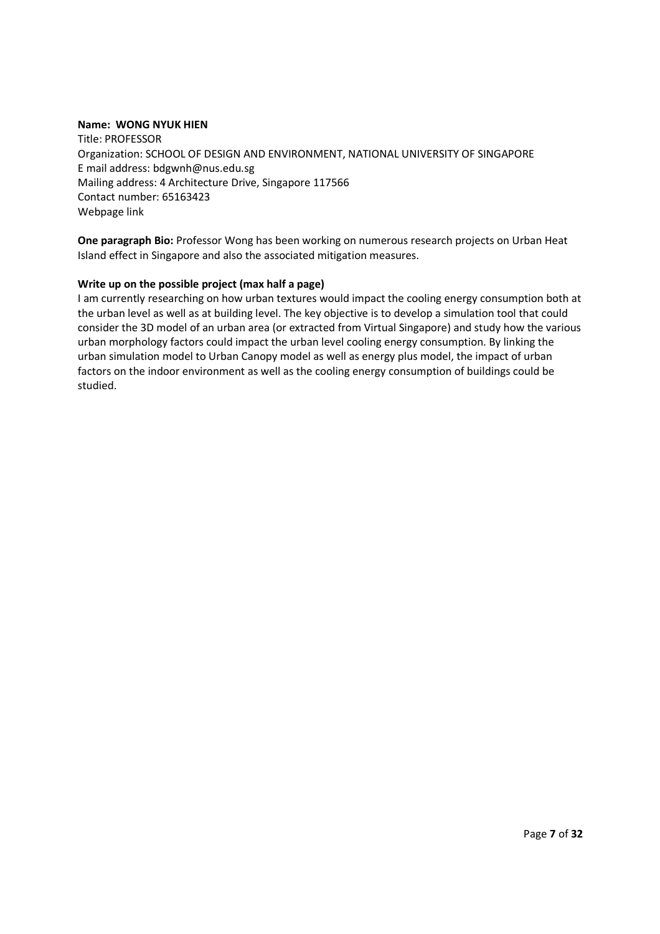## **Name: WONG NYUK HIEN**

Title: PROFESSOR Organization: SCHOOL OF DESIGN AND ENVIRONMENT, NATIONAL UNIVERSITY OF SINGAPORE E mail address: bdgwnh@nus.edu.sg Mailing address: 4 Architecture Drive, Singapore 117566 Contact number: 65163423 Webpage link

**One paragraph Bio:** Professor Wong has been working on numerous research projects on Urban Heat Island effect in Singapore and also the associated mitigation measures.

## **Write up on the possible project (max half a page)**

I am currently researching on how urban textures would impact the cooling energy consumption both at the urban level as well as at building level. The key objective is to develop a simulation tool that could consider the 3D model of an urban area (or extracted from Virtual Singapore) and study how the various urban morphology factors could impact the urban level cooling energy consumption. By linking the urban simulation model to Urban Canopy model as well as energy plus model, the impact of urban factors on the indoor environment as well as the cooling energy consumption of buildings could be studied.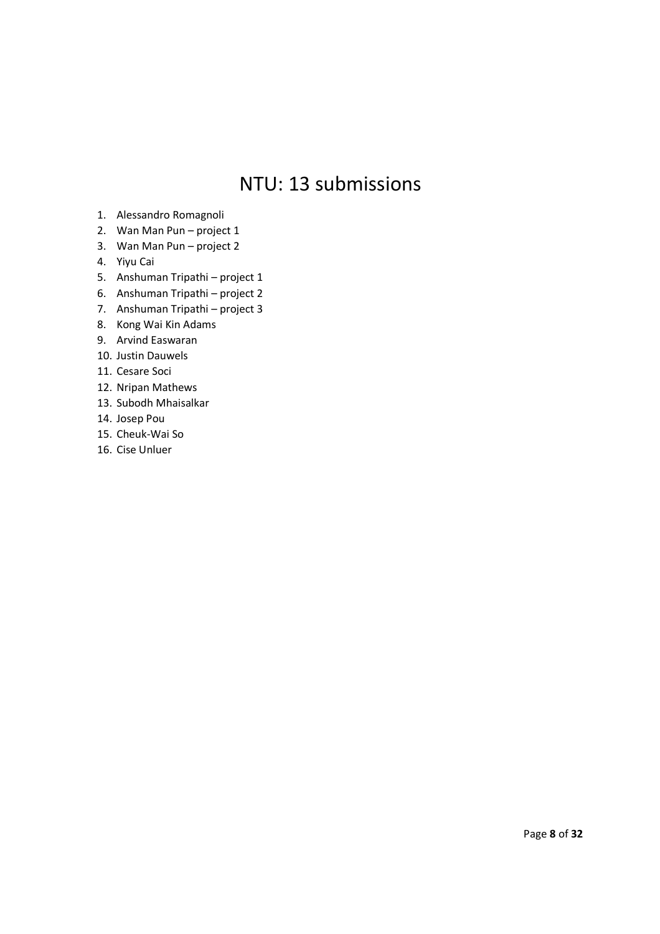## NTU: 13 submissions

- 1. Alessandro Romagnoli
- 2. Wan Man Pun project 1
- 3. Wan Man Pun project 2
- 4. Yiyu Cai
- 5. Anshuman Tripathi project 1
- 6. Anshuman Tripathi project 2
- 7. Anshuman Tripathi project 3
- 8. Kong Wai Kin Adams
- 9. Arvind Easwaran
- 10. Justin Dauwels
- 11. Cesare Soci
- 12. Nripan Mathews
- 13. Subodh Mhaisalkar
- 14. Josep Pou
- 15. Cheuk-Wai So
- 16. Cise Unluer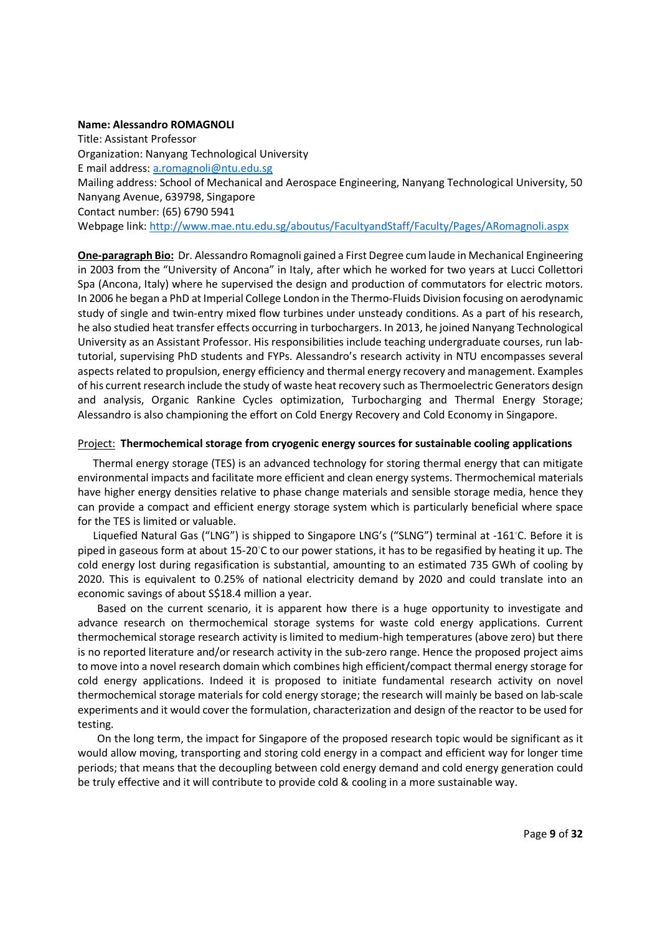#### **Name: Alessandro ROMAGNOLI**

Title: Assistant Professor Organization: Nanyang Technological University E mail address: a.romagnoli@ntu.edu.sg Mailing address: School of Mechanical and Aerospace Engineering, Nanyang Technological University, 50 Nanyang Avenue, 639798, Singapore Contact number: (65) 6790 5941 Webpage link: http://www.mae.ntu.edu.sg/aboutus/FacultyandStaff/Faculty/Pages/ARomagnoli.aspx

**One-paragraph Bio:** Dr. Alessandro Romagnoli gained a First Degree cum laude in Mechanical Engineering in 2003 from the "University of Ancona" in Italy, after which he worked for two years at Lucci Collettori Spa (Ancona, Italy) where he supervised the design and production of commutators for electric motors. In 2006 he began a PhD at Imperial College London in the Thermo-Fluids Division focusing on aerodynamic study of single and twin-entry mixed flow turbines under unsteady conditions. As a part of his research, he also studied heat transfer effects occurring in turbochargers. In 2013, he joined Nanyang Technological University as an Assistant Professor. His responsibilities include teaching undergraduate courses, run labtutorial, supervising PhD students and FYPs. Alessandro's research activity in NTU encompasses several aspects related to propulsion, energy efficiency and thermal energy recovery and management. Examples of his current research include the study of waste heat recovery such as Thermoelectric Generators design and analysis, Organic Rankine Cycles optimization, Turbocharging and Thermal Energy Storage; Alessandro is also championing the effort on Cold Energy Recovery and Cold Economy in Singapore.

## Project: **Thermochemical storage from cryogenic energy sources for sustainable cooling applications**

Thermal energy storage (TES) is an advanced technology for storing thermal energy that can mitigate environmental impacts and facilitate more efficient and clean energy systems. Thermochemical materials have higher energy densities relative to phase change materials and sensible storage media, hence they can provide a compact and efficient energy storage system which is particularly beneficial where space for the TES is limited or valuable.

Liquefied Natural Gas ("LNG") is shipped to Singapore LNG's ("SLNG") terminal at -161◦C. Before it is piped in gaseous form at about 15-20◦C to our power stations, it has to be regasified by heating it up. The cold energy lost during regasification is substantial, amounting to an estimated 735 GWh of cooling by 2020. This is equivalent to 0.25% of national electricity demand by 2020 and could translate into an economic savings of about S\$18.4 million a year.

Based on the current scenario, it is apparent how there is a huge opportunity to investigate and advance research on thermochemical storage systems for waste cold energy applications. Current thermochemical storage research activity is limited to medium-high temperatures (above zero) but there is no reported literature and/or research activity in the sub-zero range. Hence the proposed project aims to move into a novel research domain which combines high efficient/compact thermal energy storage for cold energy applications. Indeed it is proposed to initiate fundamental research activity on novel thermochemical storage materials for cold energy storage; the research will mainly be based on lab-scale experiments and it would cover the formulation, characterization and design of the reactor to be used for testing.

On the long term, the impact for Singapore of the proposed research topic would be significant as it would allow moving, transporting and storing cold energy in a compact and efficient way for longer time periods; that means that the decoupling between cold energy demand and cold energy generation could be truly effective and it will contribute to provide cold & cooling in a more sustainable way.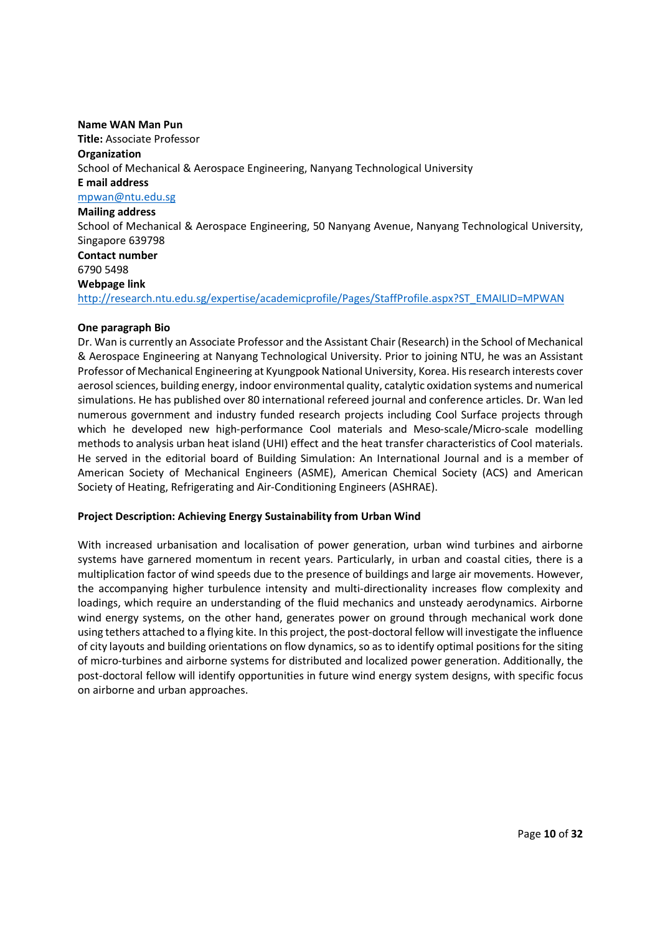#### **Name WAN Man Pun**

**Title:** Associate Professor **Organization**  School of Mechanical & Aerospace Engineering, Nanyang Technological University **E mail address**  mpwan@ntu.edu.sg **Mailing address**  School of Mechanical & Aerospace Engineering, 50 Nanyang Avenue, Nanyang Technological University, Singapore 639798 **Contact number**  6790 5498 **Webpage link**  http://research.ntu.edu.sg/expertise/academicprofile/Pages/StaffProfile.aspx?ST\_EMAILID=MPWAN

#### **One paragraph Bio**

Dr. Wan is currently an Associate Professor and the Assistant Chair (Research) in the School of Mechanical & Aerospace Engineering at Nanyang Technological University. Prior to joining NTU, he was an Assistant Professor of Mechanical Engineering at Kyungpook National University, Korea. His research interests cover aerosol sciences, building energy, indoor environmental quality, catalytic oxidation systems and numerical simulations. He has published over 80 international refereed journal and conference articles. Dr. Wan led numerous government and industry funded research projects including Cool Surface projects through which he developed new high-performance Cool materials and Meso-scale/Micro-scale modelling methods to analysis urban heat island (UHI) effect and the heat transfer characteristics of Cool materials. He served in the editorial board of Building Simulation: An International Journal and is a member of American Society of Mechanical Engineers (ASME), American Chemical Society (ACS) and American Society of Heating, Refrigerating and Air-Conditioning Engineers (ASHRAE).

#### **Project Description: Achieving Energy Sustainability from Urban Wind**

With increased urbanisation and localisation of power generation, urban wind turbines and airborne systems have garnered momentum in recent years. Particularly, in urban and coastal cities, there is a multiplication factor of wind speeds due to the presence of buildings and large air movements. However, the accompanying higher turbulence intensity and multi-directionality increases flow complexity and loadings, which require an understanding of the fluid mechanics and unsteady aerodynamics. Airborne wind energy systems, on the other hand, generates power on ground through mechanical work done using tethers attached to a flying kite. In this project, the post-doctoral fellow will investigate the influence of city layouts and building orientations on flow dynamics, so as to identify optimal positions for the siting of micro-turbines and airborne systems for distributed and localized power generation. Additionally, the post-doctoral fellow will identify opportunities in future wind energy system designs, with specific focus on airborne and urban approaches.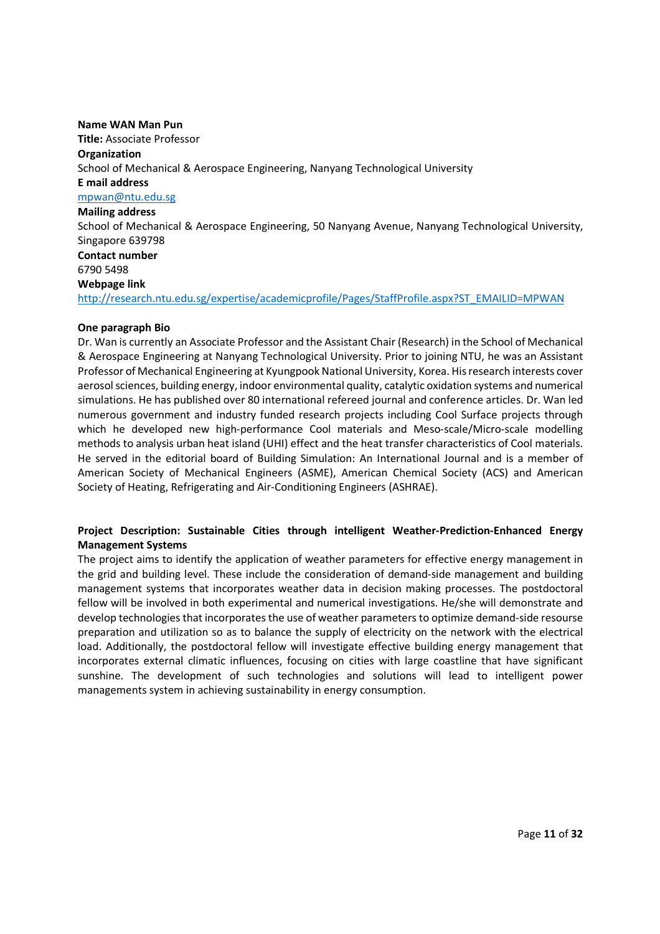#### **Name WAN Man Pun**

**Title:** Associate Professor **Organization**  School of Mechanical & Aerospace Engineering, Nanyang Technological University **E mail address**  mpwan@ntu.edu.sg **Mailing address**  School of Mechanical & Aerospace Engineering, 50 Nanyang Avenue, Nanyang Technological University, Singapore 639798 **Contact number**  6790 5498 **Webpage link**  http://research.ntu.edu.sg/expertise/academicprofile/Pages/StaffProfile.aspx?ST\_EMAILID=MPWAN

#### **One paragraph Bio**

Dr. Wan is currently an Associate Professor and the Assistant Chair (Research) in the School of Mechanical & Aerospace Engineering at Nanyang Technological University. Prior to joining NTU, he was an Assistant Professor of Mechanical Engineering at Kyungpook National University, Korea. His research interests cover aerosol sciences, building energy, indoor environmental quality, catalytic oxidation systems and numerical simulations. He has published over 80 international refereed journal and conference articles. Dr. Wan led numerous government and industry funded research projects including Cool Surface projects through which he developed new high-performance Cool materials and Meso-scale/Micro-scale modelling methods to analysis urban heat island (UHI) effect and the heat transfer characteristics of Cool materials. He served in the editorial board of Building Simulation: An International Journal and is a member of American Society of Mechanical Engineers (ASME), American Chemical Society (ACS) and American Society of Heating, Refrigerating and Air-Conditioning Engineers (ASHRAE).

## **Project Description: Sustainable Cities through intelligent Weather-Prediction-Enhanced Energy Management Systems**

The project aims to identify the application of weather parameters for effective energy management in the grid and building level. These include the consideration of demand-side management and building management systems that incorporates weather data in decision making processes. The postdoctoral fellow will be involved in both experimental and numerical investigations. He/she will demonstrate and develop technologies that incorporates the use of weather parameters to optimize demand-side resourse preparation and utilization so as to balance the supply of electricity on the network with the electrical load. Additionally, the postdoctoral fellow will investigate effective building energy management that incorporates external climatic influences, focusing on cities with large coastline that have significant sunshine. The development of such technologies and solutions will lead to intelligent power managements system in achieving sustainability in energy consumption.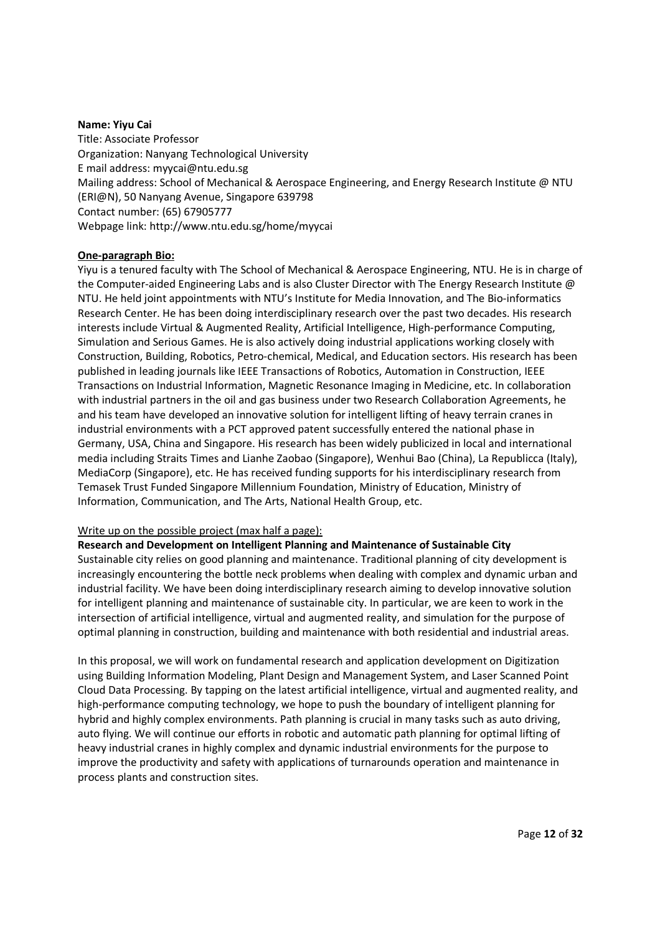#### **Name: Yiyu Cai**

Title: Associate Professor Organization: Nanyang Technological University E mail address: myycai@ntu.edu.sg Mailing address: School of Mechanical & Aerospace Engineering, and Energy Research Institute @ NTU (ERI@N), 50 Nanyang Avenue, Singapore 639798 Contact number: (65) 67905777 Webpage link: http://www.ntu.edu.sg/home/myycai

## **One-paragraph Bio:**

Yiyu is a tenured faculty with The School of Mechanical & Aerospace Engineering, NTU. He is in charge of the Computer-aided Engineering Labs and is also Cluster Director with The Energy Research Institute @ NTU. He held joint appointments with NTU's Institute for Media Innovation, and The Bio-informatics Research Center. He has been doing interdisciplinary research over the past two decades. His research interests include Virtual & Augmented Reality, Artificial Intelligence, High-performance Computing, Simulation and Serious Games. He is also actively doing industrial applications working closely with Construction, Building, Robotics, Petro-chemical, Medical, and Education sectors. His research has been published in leading journals like IEEE Transactions of Robotics, Automation in Construction, IEEE Transactions on Industrial Information, Magnetic Resonance Imaging in Medicine, etc. In collaboration with industrial partners in the oil and gas business under two Research Collaboration Agreements, he and his team have developed an innovative solution for intelligent lifting of heavy terrain cranes in industrial environments with a PCT approved patent successfully entered the national phase in Germany, USA, China and Singapore. His research has been widely publicized in local and international media including Straits Times and Lianhe Zaobao (Singapore), Wenhui Bao (China), La Republicca (Italy), MediaCorp (Singapore), etc. He has received funding supports for his interdisciplinary research from Temasek Trust Funded Singapore Millennium Foundation, Ministry of Education, Ministry of Information, Communication, and The Arts, National Health Group, etc.

#### Write up on the possible project (max half a page):

**Research and Development on Intelligent Planning and Maintenance of Sustainable City**  Sustainable city relies on good planning and maintenance. Traditional planning of city development is increasingly encountering the bottle neck problems when dealing with complex and dynamic urban and industrial facility. We have been doing interdisciplinary research aiming to develop innovative solution for intelligent planning and maintenance of sustainable city. In particular, we are keen to work in the intersection of artificial intelligence, virtual and augmented reality, and simulation for the purpose of optimal planning in construction, building and maintenance with both residential and industrial areas.

In this proposal, we will work on fundamental research and application development on Digitization using Building Information Modeling, Plant Design and Management System, and Laser Scanned Point Cloud Data Processing. By tapping on the latest artificial intelligence, virtual and augmented reality, and high-performance computing technology, we hope to push the boundary of intelligent planning for hybrid and highly complex environments. Path planning is crucial in many tasks such as auto driving, auto flying. We will continue our efforts in robotic and automatic path planning for optimal lifting of heavy industrial cranes in highly complex and dynamic industrial environments for the purpose to improve the productivity and safety with applications of turnarounds operation and maintenance in process plants and construction sites.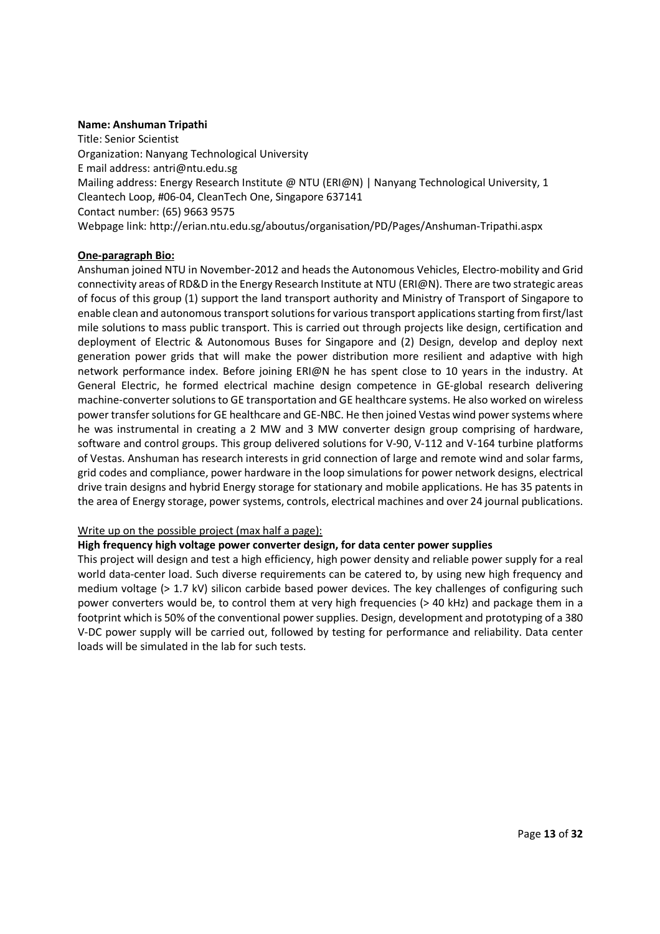## **Name: Anshuman Tripathi**

Title: Senior Scientist Organization: Nanyang Technological University E mail address: antri@ntu.edu.sg Mailing address: Energy Research Institute @ NTU (ERI@N) | Nanyang Technological University, 1 Cleantech Loop, #06-04, CleanTech One, Singapore 637141 Contact number: (65) 9663 9575 Webpage link: http://erian.ntu.edu.sg/aboutus/organisation/PD/Pages/Anshuman-Tripathi.aspx

## **One-paragraph Bio:**

Anshuman joined NTU in November-2012 and heads the Autonomous Vehicles, Electro-mobility and Grid connectivity areas of RD&D in the Energy Research Institute at NTU (ERI@N). There are two strategic areas of focus of this group (1) support the land transport authority and Ministry of Transport of Singapore to enable clean and autonomous transport solutions for various transport applications starting from first/last mile solutions to mass public transport. This is carried out through projects like design, certification and deployment of Electric & Autonomous Buses for Singapore and (2) Design, develop and deploy next generation power grids that will make the power distribution more resilient and adaptive with high network performance index. Before joining ERI@N he has spent close to 10 years in the industry. At General Electric, he formed electrical machine design competence in GE-global research delivering machine-converter solutions to GE transportation and GE healthcare systems. He also worked on wireless power transfer solutions for GE healthcare and GE-NBC. He then joined Vestas wind power systems where he was instrumental in creating a 2 MW and 3 MW converter design group comprising of hardware, software and control groups. This group delivered solutions for V-90, V-112 and V-164 turbine platforms of Vestas. Anshuman has research interests in grid connection of large and remote wind and solar farms, grid codes and compliance, power hardware in the loop simulations for power network designs, electrical drive train designs and hybrid Energy storage for stationary and mobile applications. He has 35 patents in the area of Energy storage, power systems, controls, electrical machines and over 24 journal publications.

#### Write up on the possible project (max half a page):

## **High frequency high voltage power converter design, for data center power supplies**

This project will design and test a high efficiency, high power density and reliable power supply for a real world data-center load. Such diverse requirements can be catered to, by using new high frequency and medium voltage (> 1.7 kV) silicon carbide based power devices. The key challenges of configuring such power converters would be, to control them at very high frequencies (> 40 kHz) and package them in a footprint which is 50% of the conventional power supplies. Design, development and prototyping of a 380 V-DC power supply will be carried out, followed by testing for performance and reliability. Data center loads will be simulated in the lab for such tests.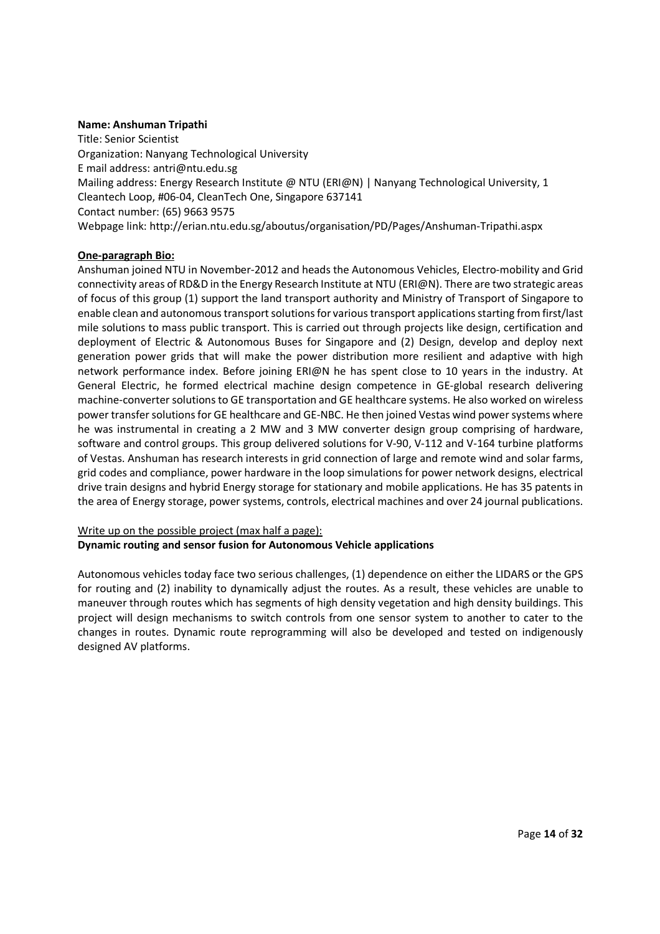## **Name: Anshuman Tripathi**

Title: Senior Scientist Organization: Nanyang Technological University E mail address: antri@ntu.edu.sg Mailing address: Energy Research Institute @ NTU (ERI@N) | Nanyang Technological University, 1 Cleantech Loop, #06-04, CleanTech One, Singapore 637141 Contact number: (65) 9663 9575 Webpage link: http://erian.ntu.edu.sg/aboutus/organisation/PD/Pages/Anshuman-Tripathi.aspx

## **One-paragraph Bio:**

Anshuman joined NTU in November-2012 and heads the Autonomous Vehicles, Electro-mobility and Grid connectivity areas of RD&D in the Energy Research Institute at NTU (ERI@N). There are two strategic areas of focus of this group (1) support the land transport authority and Ministry of Transport of Singapore to enable clean and autonomous transport solutions for various transport applications starting from first/last mile solutions to mass public transport. This is carried out through projects like design, certification and deployment of Electric & Autonomous Buses for Singapore and (2) Design, develop and deploy next generation power grids that will make the power distribution more resilient and adaptive with high network performance index. Before joining ERI@N he has spent close to 10 years in the industry. At General Electric, he formed electrical machine design competence in GE-global research delivering machine-converter solutions to GE transportation and GE healthcare systems. He also worked on wireless power transfer solutions for GE healthcare and GE-NBC. He then joined Vestas wind power systems where he was instrumental in creating a 2 MW and 3 MW converter design group comprising of hardware, software and control groups. This group delivered solutions for V-90, V-112 and V-164 turbine platforms of Vestas. Anshuman has research interests in grid connection of large and remote wind and solar farms, grid codes and compliance, power hardware in the loop simulations for power network designs, electrical drive train designs and hybrid Energy storage for stationary and mobile applications. He has 35 patents in the area of Energy storage, power systems, controls, electrical machines and over 24 journal publications.

## Write up on the possible project (max half a page): **Dynamic routing and sensor fusion for Autonomous Vehicle applications**

Autonomous vehicles today face two serious challenges, (1) dependence on either the LIDARS or the GPS for routing and (2) inability to dynamically adjust the routes. As a result, these vehicles are unable to maneuver through routes which has segments of high density vegetation and high density buildings. This project will design mechanisms to switch controls from one sensor system to another to cater to the changes in routes. Dynamic route reprogramming will also be developed and tested on indigenously designed AV platforms.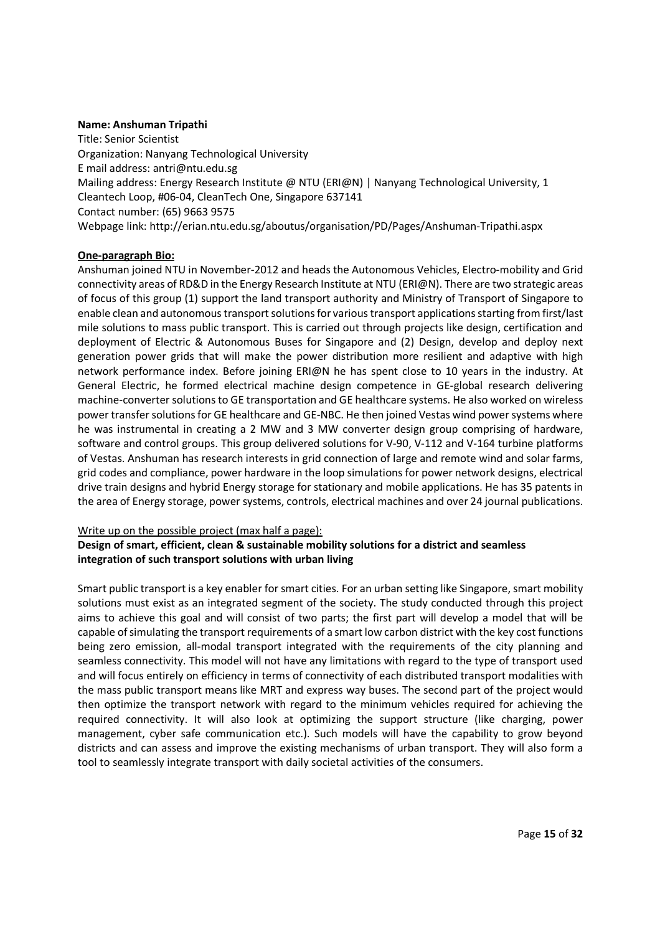## **Name: Anshuman Tripathi**

Title: Senior Scientist Organization: Nanyang Technological University E mail address: antri@ntu.edu.sg Mailing address: Energy Research Institute @ NTU (ERI@N) | Nanyang Technological University, 1 Cleantech Loop, #06-04, CleanTech One, Singapore 637141 Contact number: (65) 9663 9575 Webpage link: http://erian.ntu.edu.sg/aboutus/organisation/PD/Pages/Anshuman-Tripathi.aspx

## **One-paragraph Bio:**

Anshuman joined NTU in November-2012 and heads the Autonomous Vehicles, Electro-mobility and Grid connectivity areas of RD&D in the Energy Research Institute at NTU (ERI@N). There are two strategic areas of focus of this group (1) support the land transport authority and Ministry of Transport of Singapore to enable clean and autonomous transport solutions for various transport applications starting from first/last mile solutions to mass public transport. This is carried out through projects like design, certification and deployment of Electric & Autonomous Buses for Singapore and (2) Design, develop and deploy next generation power grids that will make the power distribution more resilient and adaptive with high network performance index. Before joining ERI@N he has spent close to 10 years in the industry. At General Electric, he formed electrical machine design competence in GE-global research delivering machine-converter solutions to GE transportation and GE healthcare systems. He also worked on wireless power transfer solutions for GE healthcare and GE-NBC. He then joined Vestas wind power systems where he was instrumental in creating a 2 MW and 3 MW converter design group comprising of hardware, software and control groups. This group delivered solutions for V-90, V-112 and V-164 turbine platforms of Vestas. Anshuman has research interests in grid connection of large and remote wind and solar farms, grid codes and compliance, power hardware in the loop simulations for power network designs, electrical drive train designs and hybrid Energy storage for stationary and mobile applications. He has 35 patents in the area of Energy storage, power systems, controls, electrical machines and over 24 journal publications.

#### Write up on the possible project (max half a page):

## **Design of smart, efficient, clean & sustainable mobility solutions for a district and seamless integration of such transport solutions with urban living**

Smart public transport is a key enabler for smart cities. For an urban setting like Singapore, smart mobility solutions must exist as an integrated segment of the society. The study conducted through this project aims to achieve this goal and will consist of two parts; the first part will develop a model that will be capable of simulating the transport requirements of a smart low carbon district with the key cost functions being zero emission, all-modal transport integrated with the requirements of the city planning and seamless connectivity. This model will not have any limitations with regard to the type of transport used and will focus entirely on efficiency in terms of connectivity of each distributed transport modalities with the mass public transport means like MRT and express way buses. The second part of the project would then optimize the transport network with regard to the minimum vehicles required for achieving the required connectivity. It will also look at optimizing the support structure (like charging, power management, cyber safe communication etc.). Such models will have the capability to grow beyond districts and can assess and improve the existing mechanisms of urban transport. They will also form a tool to seamlessly integrate transport with daily societal activities of the consumers.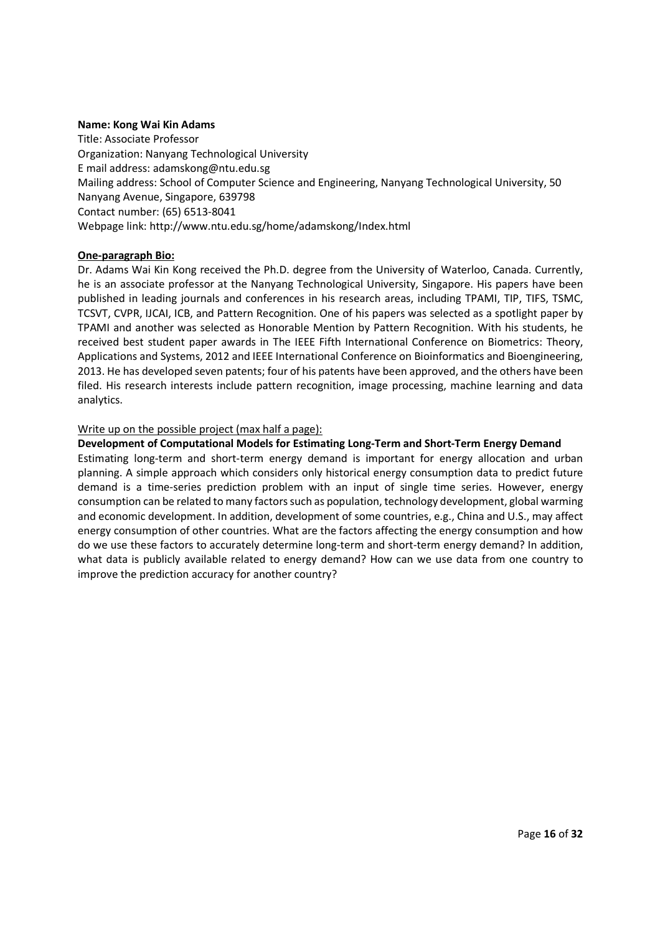## **Name: Kong Wai Kin Adams**

Title: Associate Professor Organization: Nanyang Technological University E mail address: adamskong@ntu.edu.sg Mailing address: School of Computer Science and Engineering, Nanyang Technological University, 50 Nanyang Avenue, Singapore, 639798 Contact number: (65) 6513-8041 Webpage link: http://www.ntu.edu.sg/home/adamskong/Index.html

## **One-paragraph Bio:**

Dr. Adams Wai Kin Kong received the Ph.D. degree from the University of Waterloo, Canada. Currently, he is an associate professor at the Nanyang Technological University, Singapore. His papers have been published in leading journals and conferences in his research areas, including TPAMI, TIP, TIFS, TSMC, TCSVT, CVPR, IJCAI, ICB, and Pattern Recognition. One of his papers was selected as a spotlight paper by TPAMI and another was selected as Honorable Mention by Pattern Recognition. With his students, he received best student paper awards in The IEEE Fifth International Conference on Biometrics: Theory, Applications and Systems, 2012 and IEEE International Conference on Bioinformatics and Bioengineering, 2013. He has developed seven patents; four of his patents have been approved, and the others have been filed. His research interests include pattern recognition, image processing, machine learning and data analytics.

#### Write up on the possible project (max half a page):

## **Development of Computational Models for Estimating Long-Term and Short-Term Energy Demand**

Estimating long-term and short-term energy demand is important for energy allocation and urban planning. A simple approach which considers only historical energy consumption data to predict future demand is a time-series prediction problem with an input of single time series. However, energy consumption can be related to many factors such as population, technology development, global warming and economic development. In addition, development of some countries, e.g., China and U.S., may affect energy consumption of other countries. What are the factors affecting the energy consumption and how do we use these factors to accurately determine long-term and short-term energy demand? In addition, what data is publicly available related to energy demand? How can we use data from one country to improve the prediction accuracy for another country?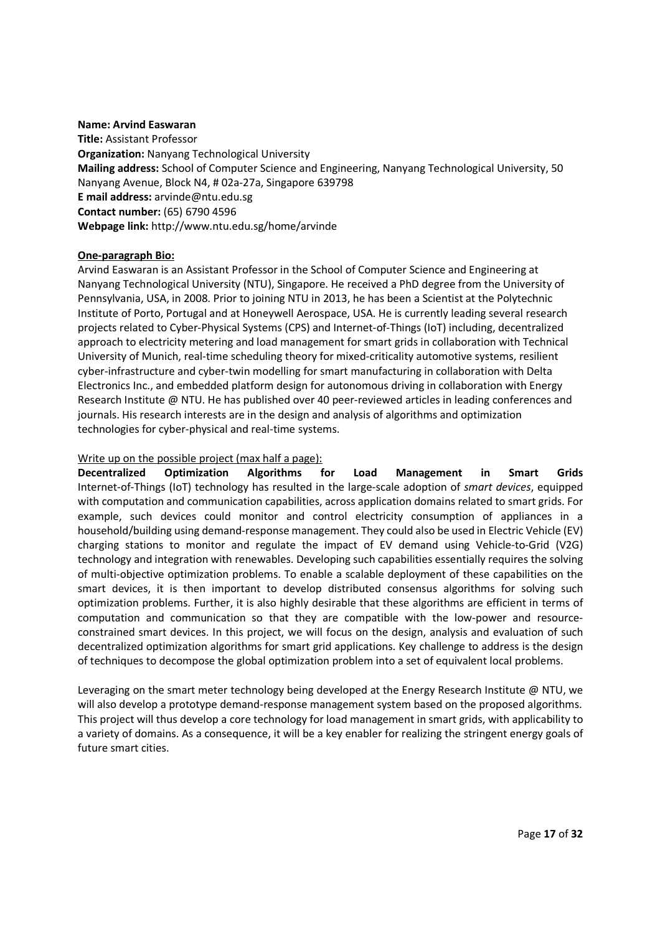#### **Name: Arvind Easwaran**

**Title:** Assistant Professor **Organization:** Nanyang Technological University **Mailing address:** School of Computer Science and Engineering, Nanyang Technological University, 50 Nanyang Avenue, Block N4, # 02a-27a, Singapore 639798 **E mail address:** arvinde@ntu.edu.sg **Contact number:** (65) 6790 4596 **Webpage link:** http://www.ntu.edu.sg/home/arvinde

#### **One-paragraph Bio:**

Arvind Easwaran is an Assistant Professor in the School of Computer Science and Engineering at Nanyang Technological University (NTU), Singapore. He received a PhD degree from the University of Pennsylvania, USA, in 2008. Prior to joining NTU in 2013, he has been a Scientist at the Polytechnic Institute of Porto, Portugal and at Honeywell Aerospace, USA. He is currently leading several research projects related to Cyber-Physical Systems (CPS) and Internet-of-Things (IoT) including, decentralized approach to electricity metering and load management for smart grids in collaboration with Technical University of Munich, real-time scheduling theory for mixed-criticality automotive systems, resilient cyber-infrastructure and cyber-twin modelling for smart manufacturing in collaboration with Delta Electronics Inc., and embedded platform design for autonomous driving in collaboration with Energy Research Institute @ NTU. He has published over 40 peer-reviewed articles in leading conferences and journals. His research interests are in the design and analysis of algorithms and optimization technologies for cyber-physical and real-time systems.

#### Write up on the possible project (max half a page):

**Decentralized Optimization Algorithms for Load Management in Smart Grids**  Internet-of-Things (IoT) technology has resulted in the large-scale adoption of *smart devices*, equipped with computation and communication capabilities, across application domains related to smart grids. For example, such devices could monitor and control electricity consumption of appliances in a household/building using demand-response management. They could also be used in Electric Vehicle (EV) charging stations to monitor and regulate the impact of EV demand using Vehicle-to-Grid (V2G) technology and integration with renewables. Developing such capabilities essentially requires the solving of multi-objective optimization problems. To enable a scalable deployment of these capabilities on the smart devices, it is then important to develop distributed consensus algorithms for solving such optimization problems. Further, it is also highly desirable that these algorithms are efficient in terms of computation and communication so that they are compatible with the low-power and resourceconstrained smart devices. In this project, we will focus on the design, analysis and evaluation of such decentralized optimization algorithms for smart grid applications. Key challenge to address is the design of techniques to decompose the global optimization problem into a set of equivalent local problems.

Leveraging on the smart meter technology being developed at the Energy Research Institute  $\omega$  NTU, we will also develop a prototype demand-response management system based on the proposed algorithms. This project will thus develop a core technology for load management in smart grids, with applicability to a variety of domains. As a consequence, it will be a key enabler for realizing the stringent energy goals of future smart cities.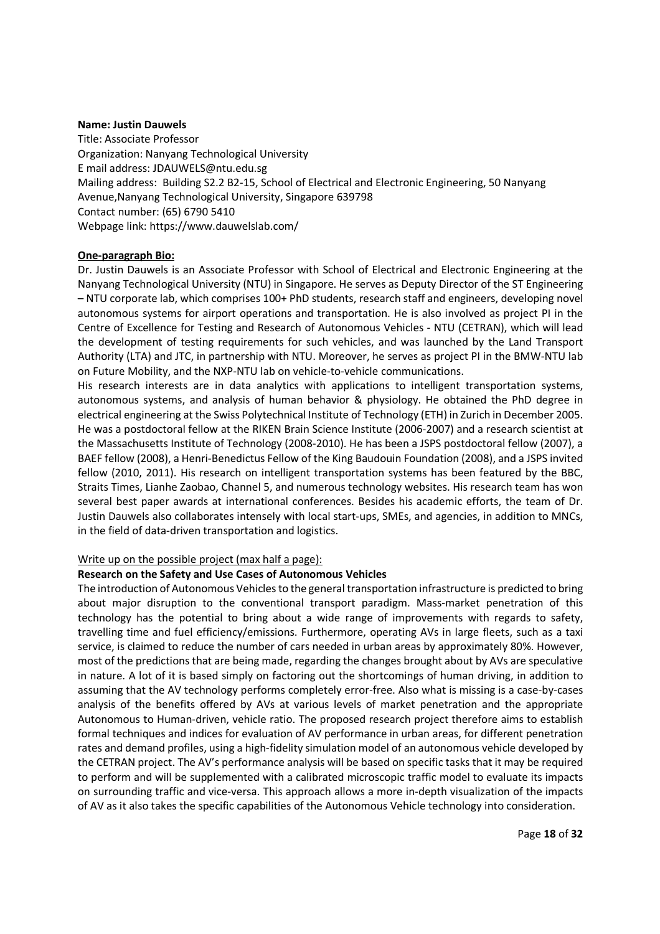#### **Name: Justin Dauwels**

Title: Associate Professor Organization: Nanyang Technological University E mail address: JDAUWELS@ntu.edu.sg Mailing address: Building S2.2 B2-15, School of Electrical and Electronic Engineering, 50 Nanyang Avenue,Nanyang Technological University, Singapore 639798 Contact number: (65) 6790 5410 Webpage link: https://www.dauwelslab.com/

## **One-paragraph Bio:**

Dr. Justin Dauwels is an Associate Professor with School of Electrical and Electronic Engineering at the Nanyang Technological University (NTU) in Singapore. He serves as Deputy Director of the ST Engineering – NTU corporate lab, which comprises 100+ PhD students, research staff and engineers, developing novel autonomous systems for airport operations and transportation. He is also involved as project PI in the Centre of Excellence for Testing and Research of Autonomous Vehicles - NTU (CETRAN), which will lead the development of testing requirements for such vehicles, and was launched by the Land Transport Authority (LTA) and JTC, in partnership with NTU. Moreover, he serves as project PI in the BMW-NTU lab on Future Mobility, and the NXP-NTU lab on vehicle-to-vehicle communications.

His research interests are in data analytics with applications to intelligent transportation systems, autonomous systems, and analysis of human behavior & physiology. He obtained the PhD degree in electrical engineering at the Swiss Polytechnical Institute of Technology (ETH) in Zurich in December 2005. He was a postdoctoral fellow at the RIKEN Brain Science Institute (2006-2007) and a research scientist at the Massachusetts Institute of Technology (2008-2010). He has been a JSPS postdoctoral fellow (2007), a BAEF fellow (2008), a Henri-Benedictus Fellow of the King Baudouin Foundation (2008), and a JSPS invited fellow (2010, 2011). His research on intelligent transportation systems has been featured by the BBC, Straits Times, Lianhe Zaobao, Channel 5, and numerous technology websites. His research team has won several best paper awards at international conferences. Besides his academic efforts, the team of Dr. Justin Dauwels also collaborates intensely with local start-ups, SMEs, and agencies, in addition to MNCs, in the field of data-driven transportation and logistics.

#### Write up on the possible project (max half a page):

#### **Research on the Safety and Use Cases of Autonomous Vehicles**

The introduction of Autonomous Vehicles to the general transportation infrastructure is predicted to bring about major disruption to the conventional transport paradigm. Mass-market penetration of this technology has the potential to bring about a wide range of improvements with regards to safety, travelling time and fuel efficiency/emissions. Furthermore, operating AVs in large fleets, such as a taxi service, is claimed to reduce the number of cars needed in urban areas by approximately 80%. However, most of the predictions that are being made, regarding the changes brought about by AVs are speculative in nature. A lot of it is based simply on factoring out the shortcomings of human driving, in addition to assuming that the AV technology performs completely error-free. Also what is missing is a case-by-cases analysis of the benefits offered by AVs at various levels of market penetration and the appropriate Autonomous to Human-driven, vehicle ratio. The proposed research project therefore aims to establish formal techniques and indices for evaluation of AV performance in urban areas, for different penetration rates and demand profiles, using a high-fidelity simulation model of an autonomous vehicle developed by the CETRAN project. The AV's performance analysis will be based on specific tasks that it may be required to perform and will be supplemented with a calibrated microscopic traffic model to evaluate its impacts on surrounding traffic and vice-versa. This approach allows a more in-depth visualization of the impacts of AV as it also takes the specific capabilities of the Autonomous Vehicle technology into consideration.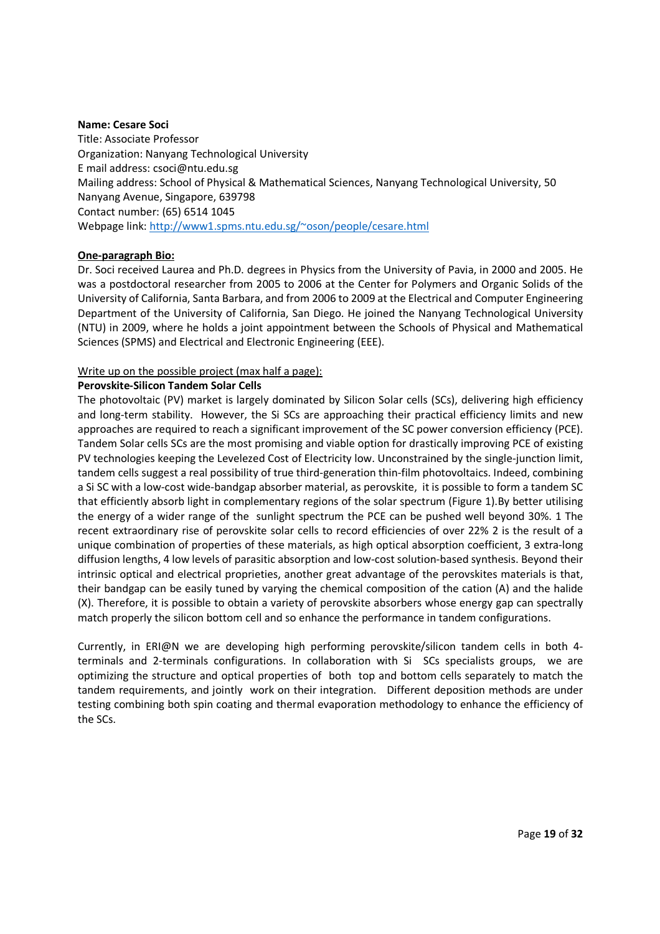#### **Name: Cesare Soci**

Title: Associate Professor Organization: Nanyang Technological University E mail address: csoci@ntu.edu.sg Mailing address: School of Physical & Mathematical Sciences, Nanyang Technological University, 50 Nanyang Avenue, Singapore, 639798 Contact number: (65) 6514 1045 Webpage link: http://www1.spms.ntu.edu.sg/~oson/people/cesare.html

## **One-paragraph Bio:**

Dr. Soci received Laurea and Ph.D. degrees in Physics from the University of Pavia, in 2000 and 2005. He was a postdoctoral researcher from 2005 to 2006 at the Center for Polymers and Organic Solids of the University of California, Santa Barbara, and from 2006 to 2009 at the Electrical and Computer Engineering Department of the University of California, San Diego. He joined the Nanyang Technological University (NTU) in 2009, where he holds a joint appointment between the Schools of Physical and Mathematical Sciences (SPMS) and Electrical and Electronic Engineering (EEE).

## Write up on the possible project (max half a page):

## **Perovskite-Silicon Tandem Solar Cells**

The photovoltaic (PV) market is largely dominated by Silicon Solar cells (SCs), delivering high efficiency and long-term stability. However, the Si SCs are approaching their practical efficiency limits and new approaches are required to reach a significant improvement of the SC power conversion efficiency (PCE). Tandem Solar cells SCs are the most promising and viable option for drastically improving PCE of existing PV technologies keeping the Levelezed Cost of Electricity low. Unconstrained by the single-junction limit, tandem cells suggest a real possibility of true third-generation thin-film photovoltaics. Indeed, combining a Si SC with a low-cost wide-bandgap absorber material, as perovskite, it is possible to form a tandem SC that efficiently absorb light in complementary regions of the solar spectrum (Figure 1).By better utilising the energy of a wider range of the sunlight spectrum the PCE can be pushed well beyond 30%. 1 The recent extraordinary rise of perovskite solar cells to record efficiencies of over 22% 2 is the result of a unique combination of properties of these materials, as high optical absorption coefficient, 3 extra-long diffusion lengths, 4 low levels of parasitic absorption and low-cost solution-based synthesis. Beyond their intrinsic optical and electrical proprieties, another great advantage of the perovskites materials is that, their bandgap can be easily tuned by varying the chemical composition of the cation (A) and the halide (X). Therefore, it is possible to obtain a variety of perovskite absorbers whose energy gap can spectrally match properly the silicon bottom cell and so enhance the performance in tandem configurations.

Currently, in ERI@N we are developing high performing perovskite/silicon tandem cells in both 4 terminals and 2-terminals configurations. In collaboration with Si SCs specialists groups, we are optimizing the structure and optical properties of both top and bottom cells separately to match the tandem requirements, and jointly work on their integration. Different deposition methods are under testing combining both spin coating and thermal evaporation methodology to enhance the efficiency of the SCs.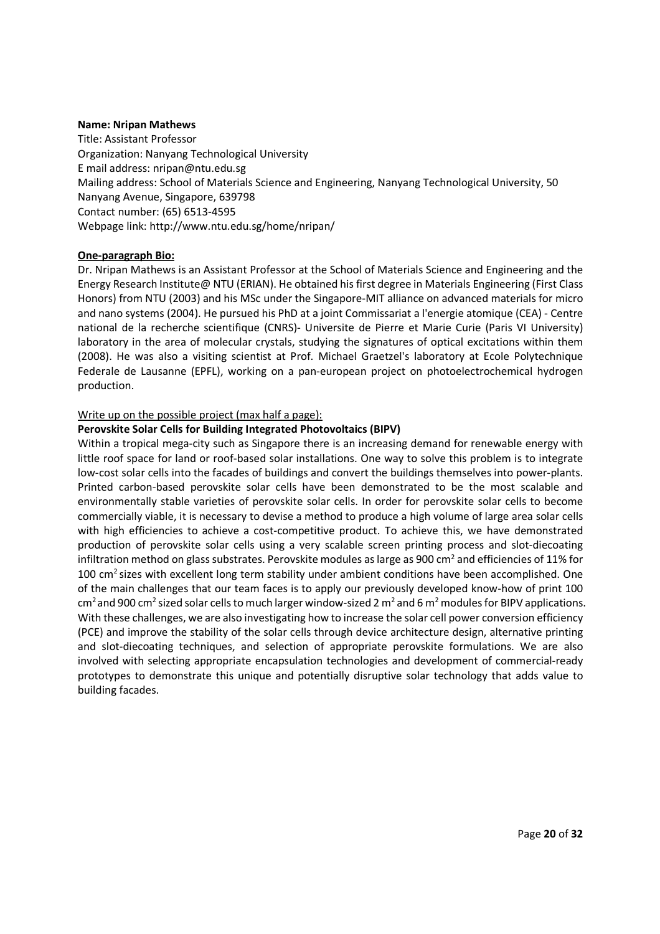#### **Name: Nripan Mathews**

Title: Assistant Professor Organization: Nanyang Technological University E mail address: nripan@ntu.edu.sg Mailing address: School of Materials Science and Engineering, Nanyang Technological University, 50 Nanyang Avenue, Singapore, 639798 Contact number: (65) 6513-4595 Webpage link: http://www.ntu.edu.sg/home/nripan/

## **One-paragraph Bio:**

Dr. Nripan Mathews is an Assistant Professor at the School of Materials Science and Engineering and the Energy Research Institute@ NTU (ERIAN). He obtained his first degree in Materials Engineering (First Class Honors) from NTU (2003) and his MSc under the Singapore-MIT alliance on advanced materials for micro and nano systems (2004). He pursued his PhD at a joint Commissariat a l'energie atomique (CEA) - Centre national de la recherche scientifique (CNRS)- Universite de Pierre et Marie Curie (Paris VI University) laboratory in the area of molecular crystals, studying the signatures of optical excitations within them (2008). He was also a visiting scientist at Prof. Michael Graetzel's laboratory at Ecole Polytechnique Federale de Lausanne (EPFL), working on a pan-european project on photoelectrochemical hydrogen production.

## Write up on the possible project (max half a page):

## **Perovskite Solar Cells for Building Integrated Photovoltaics (BIPV)**

Within a tropical mega-city such as Singapore there is an increasing demand for renewable energy with little roof space for land or roof-based solar installations. One way to solve this problem is to integrate low-cost solar cells into the facades of buildings and convert the buildings themselves into power-plants. Printed carbon-based perovskite solar cells have been demonstrated to be the most scalable and environmentally stable varieties of perovskite solar cells. In order for perovskite solar cells to become commercially viable, it is necessary to devise a method to produce a high volume of large area solar cells with high efficiencies to achieve a cost-competitive product. To achieve this, we have demonstrated production of perovskite solar cells using a very scalable screen printing process and slot-diecoating infiltration method on glass substrates. Perovskite modules as large as 900 cm<sup>2</sup> and efficiencies of 11% for 100 cm<sup>2</sup> sizes with excellent long term stability under ambient conditions have been accomplished. One of the main challenges that our team faces is to apply our previously developed know-how of print 100 cm<sup>2</sup> and 900 cm<sup>2</sup> sized solar cells to much larger window-sized 2 m<sup>2</sup> and 6 m<sup>2</sup> modules for BIPV applications. With these challenges, we are also investigating how to increase the solar cell power conversion efficiency (PCE) and improve the stability of the solar cells through device architecture design, alternative printing and slot-diecoating techniques, and selection of appropriate perovskite formulations. We are also involved with selecting appropriate encapsulation technologies and development of commercial-ready prototypes to demonstrate this unique and potentially disruptive solar technology that adds value to building facades.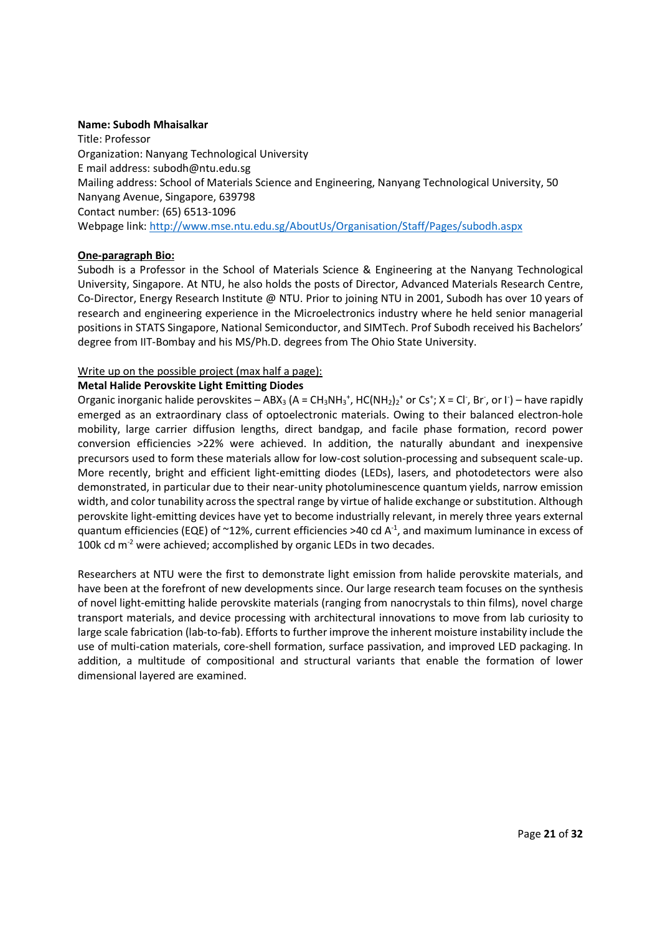#### **Name: Subodh Mhaisalkar**

Title: Professor Organization: Nanyang Technological University E mail address: subodh@ntu.edu.sg Mailing address: School of Materials Science and Engineering, Nanyang Technological University, 50 Nanyang Avenue, Singapore, 639798 Contact number: (65) 6513-1096 Webpage link: http://www.mse.ntu.edu.sg/AboutUs/Organisation/Staff/Pages/subodh.aspx

## **One-paragraph Bio:**

Subodh is a Professor in the School of Materials Science & Engineering at the Nanyang Technological University, Singapore. At NTU, he also holds the posts of Director, Advanced Materials Research Centre, Co-Director, Energy Research Institute @ NTU. Prior to joining NTU in 2001, Subodh has over 10 years of research and engineering experience in the Microelectronics industry where he held senior managerial positions in STATS Singapore, National Semiconductor, and SIMTech. Prof Subodh received his Bachelors' degree from IIT-Bombay and his MS/Ph.D. degrees from The Ohio State University.

## Write up on the possible project (max half a page):

## **Metal Halide Perovskite Light Emitting Diodes**

Organic inorganic halide perovskites - ABX<sub>3</sub> (A = CH<sub>3</sub>NH<sub>3</sub><sup>+</sup>, HC(NH<sub>2</sub>)<sub>2</sub><sup>+</sup> or Cs<sup>+</sup>; X = Cl , Br , or l ) - have rapidly emerged as an extraordinary class of optoelectronic materials. Owing to their balanced electron-hole mobility, large carrier diffusion lengths, direct bandgap, and facile phase formation, record power conversion efficiencies >22% were achieved. In addition, the naturally abundant and inexpensive precursors used to form these materials allow for low-cost solution-processing and subsequent scale-up. More recently, bright and efficient light-emitting diodes (LEDs), lasers, and photodetectors were also demonstrated, in particular due to their near-unity photoluminescence quantum yields, narrow emission width, and color tunability across the spectral range by virtue of halide exchange or substitution. Although perovskite light-emitting devices have yet to become industrially relevant, in merely three years external quantum efficiencies (EQE) of  $\sim$ 12%, current efficiencies >40 cd A<sup>-1</sup>, and maximum luminance in excess of 100k cd m<sup>-2</sup> were achieved; accomplished by organic LEDs in two decades.

Researchers at NTU were the first to demonstrate light emission from halide perovskite materials, and have been at the forefront of new developments since. Our large research team focuses on the synthesis of novel light-emitting halide perovskite materials (ranging from nanocrystals to thin films), novel charge transport materials, and device processing with architectural innovations to move from lab curiosity to large scale fabrication (lab-to-fab). Efforts to further improve the inherent moisture instability include the use of multi-cation materials, core-shell formation, surface passivation, and improved LED packaging. In addition, a multitude of compositional and structural variants that enable the formation of lower dimensional layered are examined.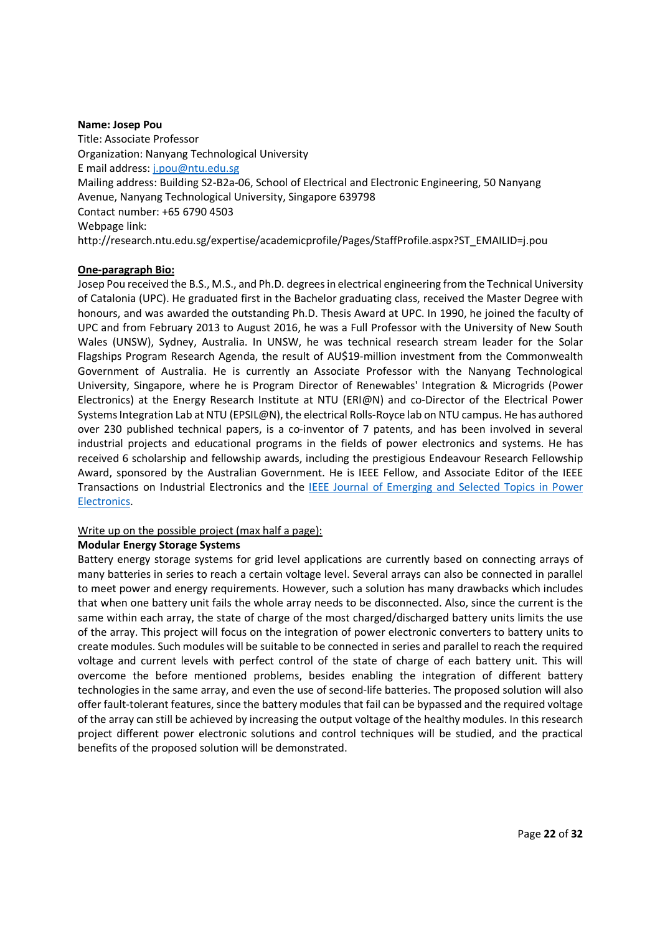#### **Name: Josep Pou**

Title: Associate Professor Organization: Nanyang Technological University E mail address: j.pou@ntu.edu.sg Mailing address: Building S2-B2a-06, School of Electrical and Electronic Engineering, 50 Nanyang Avenue, Nanyang Technological University, Singapore 639798 Contact number: +65 6790 4503 Webpage link: http://research.ntu.edu.sg/expertise/academicprofile/Pages/StaffProfile.aspx?ST\_EMAILID=j.pou

## **One-paragraph Bio:**

Josep Pou received the B.S., M.S., and Ph.D. degrees in electrical engineering from the Technical University of Catalonia (UPC). He graduated first in the Bachelor graduating class, received the Master Degree with honours, and was awarded the outstanding Ph.D. Thesis Award at UPC. In 1990, he joined the faculty of UPC and from February 2013 to August 2016, he was a Full Professor with the University of New South Wales (UNSW), Sydney, Australia. In UNSW, he was technical research stream leader for the Solar Flagships Program Research Agenda, the result of AU\$19-million investment from the Commonwealth Government of Australia. He is currently an Associate Professor with the Nanyang Technological University, Singapore, where he is Program Director of Renewables' Integration & Microgrids (Power Electronics) at the Energy Research Institute at NTU (ERI@N) and co-Director of the Electrical Power Systems Integration Lab at NTU (EPSIL@N), the electrical Rolls-Royce lab on NTU campus. He has authored over 230 published technical papers, is a co-inventor of 7 patents, and has been involved in several industrial projects and educational programs in the fields of power electronics and systems. He has received 6 scholarship and fellowship awards, including the prestigious Endeavour Research Fellowship Award, sponsored by the Australian Government. He is IEEE Fellow, and Associate Editor of the IEEE Transactions on Industrial Electronics and the IEEE Journal of Emerging and Selected Topics in Power Electronics.

## Write up on the possible project (max half a page):

## **Modular Energy Storage Systems**

Battery energy storage systems for grid level applications are currently based on connecting arrays of many batteries in series to reach a certain voltage level. Several arrays can also be connected in parallel to meet power and energy requirements. However, such a solution has many drawbacks which includes that when one battery unit fails the whole array needs to be disconnected. Also, since the current is the same within each array, the state of charge of the most charged/discharged battery units limits the use of the array. This project will focus on the integration of power electronic converters to battery units to create modules. Such modules will be suitable to be connected in series and parallel to reach the required voltage and current levels with perfect control of the state of charge of each battery unit. This will overcome the before mentioned problems, besides enabling the integration of different battery technologies in the same array, and even the use of second-life batteries. The proposed solution will also offer fault-tolerant features, since the battery modules that fail can be bypassed and the required voltage of the array can still be achieved by increasing the output voltage of the healthy modules. In this research project different power electronic solutions and control techniques will be studied, and the practical benefits of the proposed solution will be demonstrated.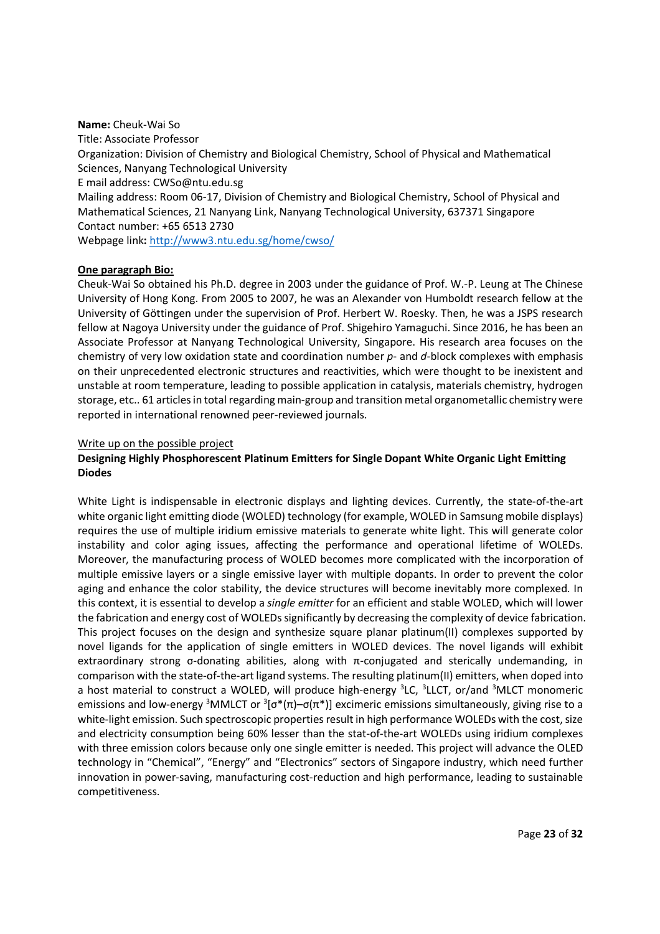#### **Name:** Cheuk-Wai So

Title: Associate Professor Organization: Division of Chemistry and Biological Chemistry, School of Physical and Mathematical Sciences, Nanyang Technological University E mail address: CWSo@ntu.edu.sg Mailing address: Room 06-17, Division of Chemistry and Biological Chemistry, School of Physical and Mathematical Sciences, 21 Nanyang Link, Nanyang Technological University, 637371 Singapore Contact number: +65 6513 2730 Webpage link**:** http://www3.ntu.edu.sg/home/cwso/

#### **One paragraph Bio:**

Cheuk-Wai So obtained his Ph.D. degree in 2003 under the guidance of Prof. W.-P. Leung at The Chinese University of Hong Kong. From 2005 to 2007, he was an Alexander von Humboldt research fellow at the University of Göttingen under the supervision of Prof. Herbert W. Roesky. Then, he was a JSPS research fellow at Nagoya University under the guidance of Prof. Shigehiro Yamaguchi. Since 2016, he has been an Associate Professor at Nanyang Technological University, Singapore. His research area focuses on the chemistry of very low oxidation state and coordination number *p*- and *d*-block complexes with emphasis on their unprecedented electronic structures and reactivities, which were thought to be inexistent and unstable at room temperature, leading to possible application in catalysis, materials chemistry, hydrogen storage, etc.. 61 articles in total regarding main-group and transition metal organometallic chemistry were reported in international renowned peer-reviewed journals.

#### Write up on the possible project

## **Designing Highly Phosphorescent Platinum Emitters for Single Dopant White Organic Light Emitting Diodes**

White Light is indispensable in electronic displays and lighting devices. Currently, the state-of-the-art white organic light emitting diode (WOLED) technology (for example, WOLED in Samsung mobile displays) requires the use of multiple iridium emissive materials to generate white light. This will generate color instability and color aging issues, affecting the performance and operational lifetime of WOLEDs. Moreover, the manufacturing process of WOLED becomes more complicated with the incorporation of multiple emissive layers or a single emissive layer with multiple dopants. In order to prevent the color aging and enhance the color stability, the device structures will become inevitably more complexed. In this context, it is essential to develop a *single emitter* for an efficient and stable WOLED, which will lower the fabrication and energy cost of WOLEDs significantly by decreasing the complexity of device fabrication. This project focuses on the design and synthesize square planar platinum(II) complexes supported by novel ligands for the application of single emitters in WOLED devices. The novel ligands will exhibit extraordinary strong σ-donating abilities, along with π-conjugated and sterically undemanding, in comparison with the state-of-the-art ligand systems. The resulting platinum(II) emitters, when doped into a host material to construct a WOLED, will produce high-energy <sup>3</sup>LC, <sup>3</sup>LLCT, or/and <sup>3</sup>MLCT monomeric emissions and low-energy <sup>3</sup>MMLCT or <sup>3</sup>[ $\sigma^*(\pi)$ – $\sigma(\pi^*)$ ] excimeric emissions simultaneously, giving rise to a white-light emission. Such spectroscopic properties result in high performance WOLEDs with the cost, size and electricity consumption being 60% lesser than the stat-of-the-art WOLEDs using iridium complexes with three emission colors because only one single emitter is needed. This project will advance the OLED technology in "Chemical", "Energy" and "Electronics" sectors of Singapore industry, which need further innovation in power-saving, manufacturing cost-reduction and high performance, leading to sustainable competitiveness.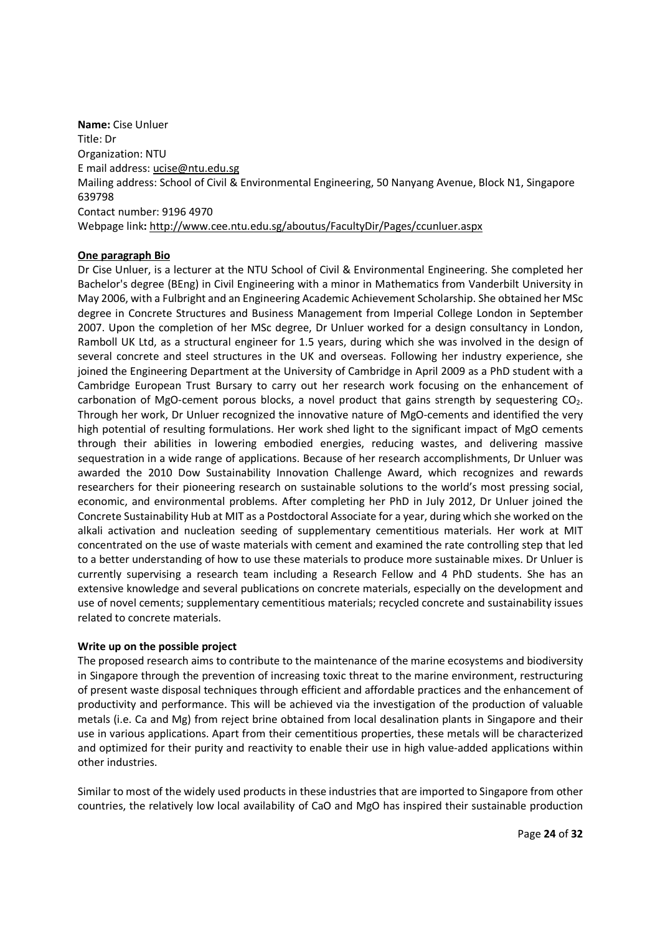**Name:** Cise Unluer Title: Dr Organization: NTU E mail address: ucise@ntu.edu.sg Mailing address: School of Civil & Environmental Engineering, 50 Nanyang Avenue, Block N1, Singapore 639798 Contact number: 9196 4970 Webpage link**:** http://www.cee.ntu.edu.sg/aboutus/FacultyDir/Pages/ccunluer.aspx

## **One paragraph Bio**

Dr Cise Unluer, is a lecturer at the NTU School of Civil & Environmental Engineering. She completed her Bachelor's degree (BEng) in Civil Engineering with a minor in Mathematics from Vanderbilt University in May 2006, with a Fulbright and an Engineering Academic Achievement Scholarship. She obtained her MSc degree in Concrete Structures and Business Management from Imperial College London in September 2007. Upon the completion of her MSc degree, Dr Unluer worked for a design consultancy in London, Ramboll UK Ltd, as a structural engineer for 1.5 years, during which she was involved in the design of several concrete and steel structures in the UK and overseas. Following her industry experience, she joined the Engineering Department at the University of Cambridge in April 2009 as a PhD student with a Cambridge European Trust Bursary to carry out her research work focusing on the enhancement of carbonation of MgO-cement porous blocks, a novel product that gains strength by sequestering CO<sub>2</sub>. Through her work, Dr Unluer recognized the innovative nature of MgO-cements and identified the very high potential of resulting formulations. Her work shed light to the significant impact of MgO cements through their abilities in lowering embodied energies, reducing wastes, and delivering massive sequestration in a wide range of applications. Because of her research accomplishments, Dr Unluer was awarded the 2010 Dow Sustainability Innovation Challenge Award, which recognizes and rewards researchers for their pioneering research on sustainable solutions to the world's most pressing social, economic, and environmental problems. After completing her PhD in July 2012, Dr Unluer joined the Concrete Sustainability Hub at MIT as a Postdoctoral Associate for a year, during which she worked on the alkali activation and nucleation seeding of supplementary cementitious materials. Her work at MIT concentrated on the use of waste materials with cement and examined the rate controlling step that led to a better understanding of how to use these materials to produce more sustainable mixes. Dr Unluer is currently supervising a research team including a Research Fellow and 4 PhD students. She has an extensive knowledge and several publications on concrete materials, especially on the development and use of novel cements; supplementary cementitious materials; recycled concrete and sustainability issues related to concrete materials.

#### **Write up on the possible project**

The proposed research aims to contribute to the maintenance of the marine ecosystems and biodiversity in Singapore through the prevention of increasing toxic threat to the marine environment, restructuring of present waste disposal techniques through efficient and affordable practices and the enhancement of productivity and performance. This will be achieved via the investigation of the production of valuable metals (i.e. Ca and Mg) from reject brine obtained from local desalination plants in Singapore and their use in various applications. Apart from their cementitious properties, these metals will be characterized and optimized for their purity and reactivity to enable their use in high value-added applications within other industries.

Similar to most of the widely used products in these industries that are imported to Singapore from other countries, the relatively low local availability of CaO and MgO has inspired their sustainable production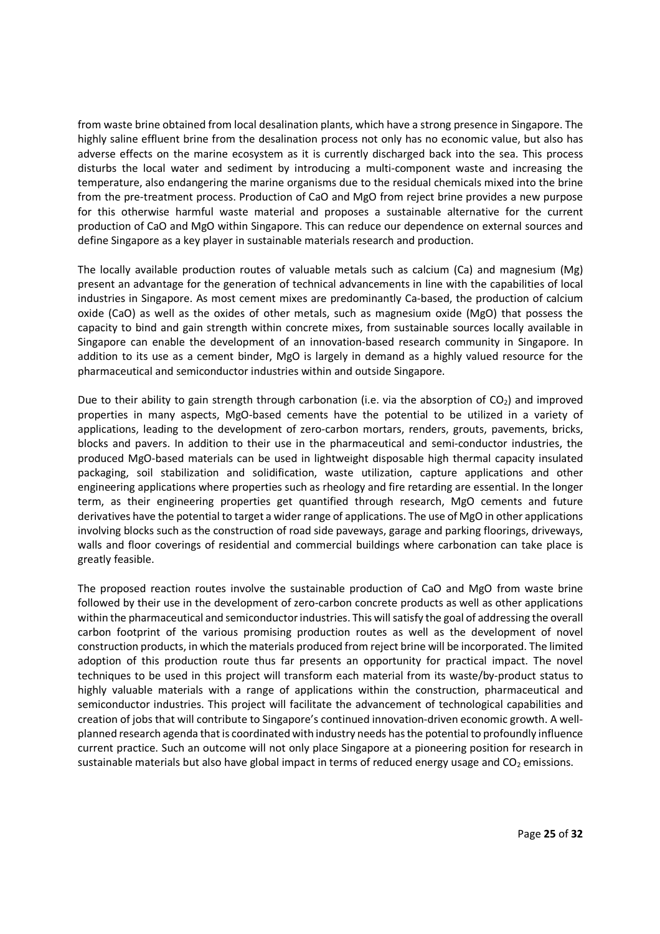from waste brine obtained from local desalination plants, which have a strong presence in Singapore. The highly saline effluent brine from the desalination process not only has no economic value, but also has adverse effects on the marine ecosystem as it is currently discharged back into the sea. This process disturbs the local water and sediment by introducing a multi-component waste and increasing the temperature, also endangering the marine organisms due to the residual chemicals mixed into the brine from the pre-treatment process. Production of CaO and MgO from reject brine provides a new purpose for this otherwise harmful waste material and proposes a sustainable alternative for the current production of CaO and MgO within Singapore. This can reduce our dependence on external sources and define Singapore as a key player in sustainable materials research and production.

The locally available production routes of valuable metals such as calcium (Ca) and magnesium (Mg) present an advantage for the generation of technical advancements in line with the capabilities of local industries in Singapore. As most cement mixes are predominantly Ca-based, the production of calcium oxide (CaO) as well as the oxides of other metals, such as magnesium oxide (MgO) that possess the capacity to bind and gain strength within concrete mixes, from sustainable sources locally available in Singapore can enable the development of an innovation-based research community in Singapore. In addition to its use as a cement binder, MgO is largely in demand as a highly valued resource for the pharmaceutical and semiconductor industries within and outside Singapore.

Due to their ability to gain strength through carbonation (i.e. via the absorption of  $CO<sub>2</sub>$ ) and improved properties in many aspects, MgO-based cements have the potential to be utilized in a variety of applications, leading to the development of zero-carbon mortars, renders, grouts, pavements, bricks, blocks and pavers. In addition to their use in the pharmaceutical and semi-conductor industries, the produced MgO-based materials can be used in lightweight disposable high thermal capacity insulated packaging, soil stabilization and solidification, waste utilization, capture applications and other engineering applications where properties such as rheology and fire retarding are essential. In the longer term, as their engineering properties get quantified through research, MgO cements and future derivatives have the potential to target a wider range of applications. The use of MgO in other applications involving blocks such as the construction of road side paveways, garage and parking floorings, driveways, walls and floor coverings of residential and commercial buildings where carbonation can take place is greatly feasible.

The proposed reaction routes involve the sustainable production of CaO and MgO from waste brine followed by their use in the development of zero-carbon concrete products as well as other applications within the pharmaceutical and semiconductor industries. This will satisfy the goal of addressing the overall carbon footprint of the various promising production routes as well as the development of novel construction products, in which the materials produced from reject brine will be incorporated. The limited adoption of this production route thus far presents an opportunity for practical impact. The novel techniques to be used in this project will transform each material from its waste/by-product status to highly valuable materials with a range of applications within the construction, pharmaceutical and semiconductor industries. This project will facilitate the advancement of technological capabilities and creation of jobs that will contribute to Singapore's continued innovation-driven economic growth. A wellplanned research agenda that is coordinated with industry needs has the potential to profoundly influence current practice. Such an outcome will not only place Singapore at a pioneering position for research in sustainable materials but also have global impact in terms of reduced energy usage and  $CO<sub>2</sub>$  emissions.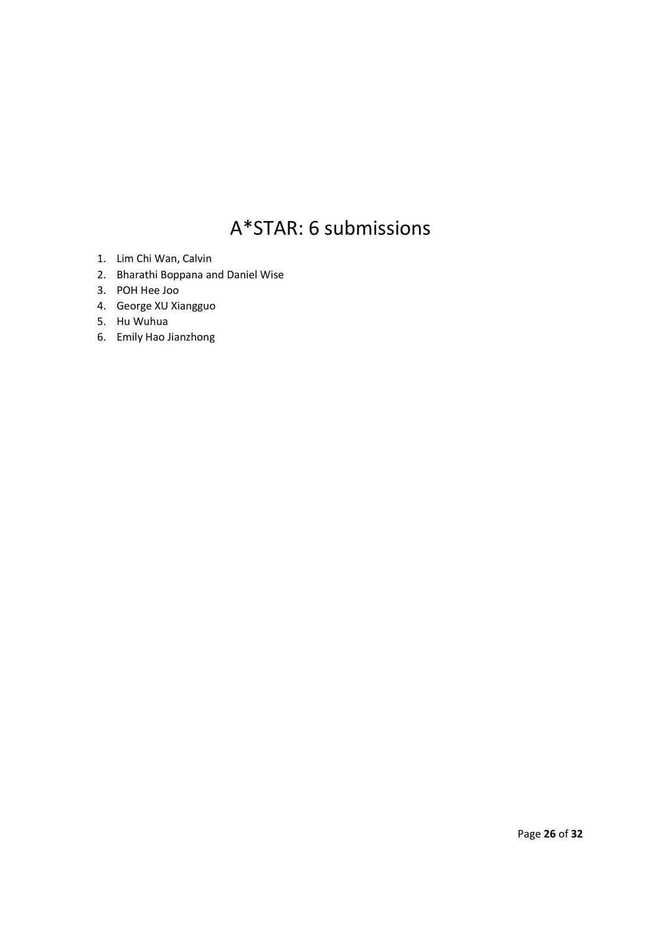# A\*STAR: 6 submissions

- 1. Lim Chi Wan, Calvin
- 2. Bharathi Boppana and Daniel Wise
- 3. POH Hee Joo
- 4. George XU Xiangguo
- 5. Hu Wuhua
- 6. Emily Hao Jianzhong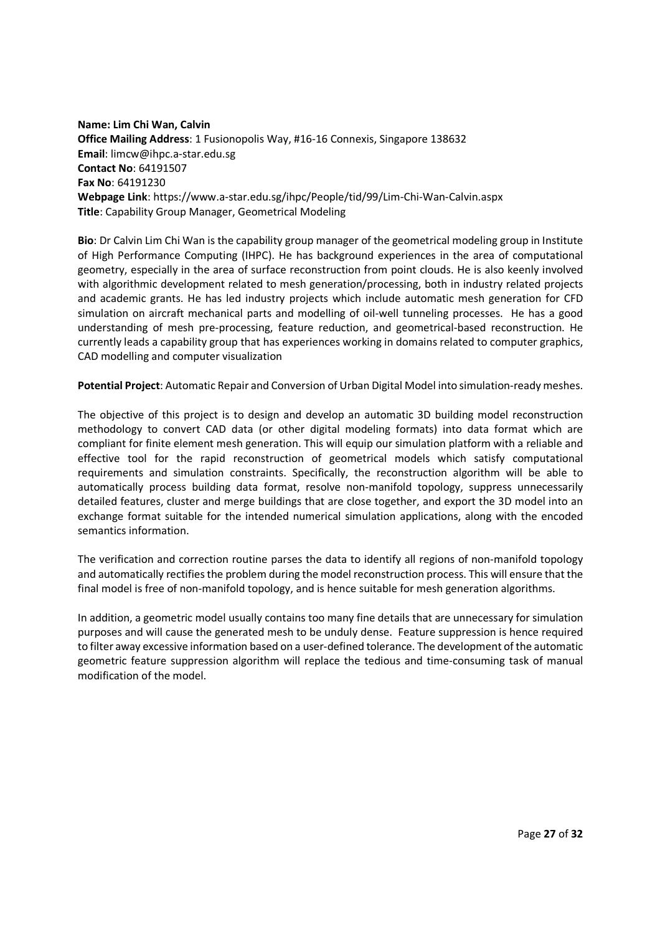**Name: Lim Chi Wan, Calvin Office Mailing Address**: 1 Fusionopolis Way, #16-16 Connexis, Singapore 138632 **Email**: limcw@ihpc.a-star.edu.sg **Contact No**: 64191507 **Fax No**: 64191230 **Webpage Link**: https://www.a-star.edu.sg/ihpc/People/tid/99/Lim-Chi-Wan-Calvin.aspx **Title**: Capability Group Manager, Geometrical Modeling

**Bio**: Dr Calvin Lim Chi Wan is the capability group manager of the geometrical modeling group in Institute of High Performance Computing (IHPC). He has background experiences in the area of computational geometry, especially in the area of surface reconstruction from point clouds. He is also keenly involved with algorithmic development related to mesh generation/processing, both in industry related projects and academic grants. He has led industry projects which include automatic mesh generation for CFD simulation on aircraft mechanical parts and modelling of oil-well tunneling processes. He has a good understanding of mesh pre-processing, feature reduction, and geometrical-based reconstruction. He currently leads a capability group that has experiences working in domains related to computer graphics, CAD modelling and computer visualization

**Potential Project**: Automatic Repair and Conversion of Urban Digital Model into simulation-ready meshes.

The objective of this project is to design and develop an automatic 3D building model reconstruction methodology to convert CAD data (or other digital modeling formats) into data format which are compliant for finite element mesh generation. This will equip our simulation platform with a reliable and effective tool for the rapid reconstruction of geometrical models which satisfy computational requirements and simulation constraints. Specifically, the reconstruction algorithm will be able to automatically process building data format, resolve non-manifold topology, suppress unnecessarily detailed features, cluster and merge buildings that are close together, and export the 3D model into an exchange format suitable for the intended numerical simulation applications, along with the encoded semantics information.

The verification and correction routine parses the data to identify all regions of non-manifold topology and automatically rectifies the problem during the model reconstruction process. This will ensure that the final model is free of non-manifold topology, and is hence suitable for mesh generation algorithms.

In addition, a geometric model usually contains too many fine details that are unnecessary for simulation purposes and will cause the generated mesh to be unduly dense. Feature suppression is hence required to filter away excessive information based on a user-defined tolerance. The development of the automatic geometric feature suppression algorithm will replace the tedious and time-consuming task of manual modification of the model.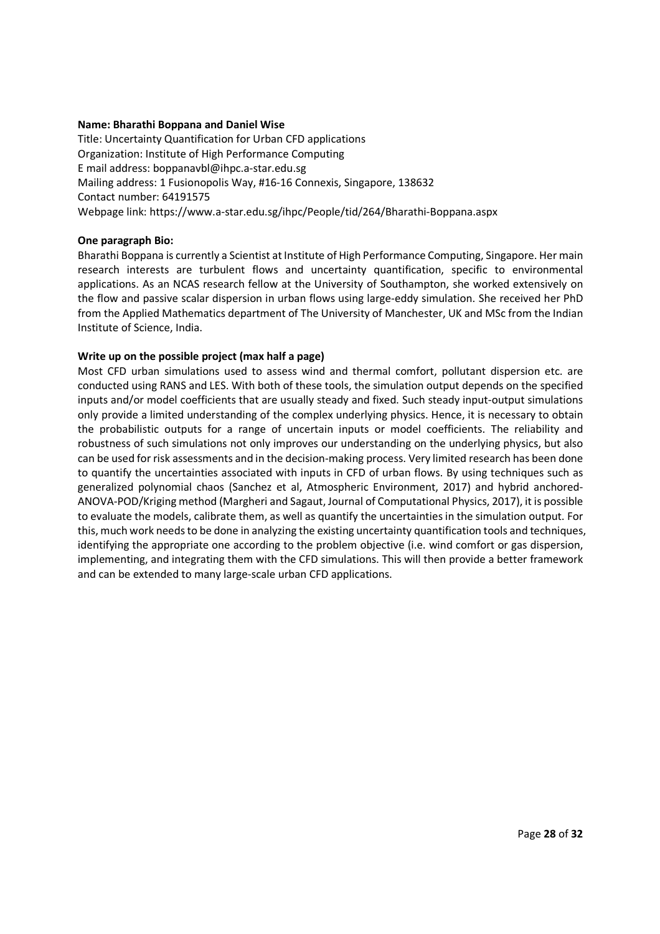## **Name: Bharathi Boppana and Daniel Wise**

Title: Uncertainty Quantification for Urban CFD applications Organization: Institute of High Performance Computing E mail address: boppanavbl@ihpc.a-star.edu.sg Mailing address: 1 Fusionopolis Way, #16-16 Connexis, Singapore, 138632 Contact number: 64191575 Webpage link: https://www.a-star.edu.sg/ihpc/People/tid/264/Bharathi-Boppana.aspx

#### **One paragraph Bio:**

Bharathi Boppana is currently a Scientist at Institute of High Performance Computing, Singapore. Her main research interests are turbulent flows and uncertainty quantification, specific to environmental applications. As an NCAS research fellow at the University of Southampton, she worked extensively on the flow and passive scalar dispersion in urban flows using large-eddy simulation. She received her PhD from the Applied Mathematics department of The University of Manchester, UK and MSc from the Indian Institute of Science, India.

## **Write up on the possible project (max half a page)**

Most CFD urban simulations used to assess wind and thermal comfort, pollutant dispersion etc. are conducted using RANS and LES. With both of these tools, the simulation output depends on the specified inputs and/or model coefficients that are usually steady and fixed. Such steady input-output simulations only provide a limited understanding of the complex underlying physics. Hence, it is necessary to obtain the probabilistic outputs for a range of uncertain inputs or model coefficients. The reliability and robustness of such simulations not only improves our understanding on the underlying physics, but also can be used for risk assessments and in the decision-making process. Very limited research has been done to quantify the uncertainties associated with inputs in CFD of urban flows. By using techniques such as generalized polynomial chaos (Sanchez et al, Atmospheric Environment, 2017) and hybrid anchored-ANOVA-POD/Kriging method (Margheri and Sagaut, Journal of Computational Physics, 2017), it is possible to evaluate the models, calibrate them, as well as quantify the uncertainties in the simulation output. For this, much work needs to be done in analyzing the existing uncertainty quantification tools and techniques, identifying the appropriate one according to the problem objective (i.e. wind comfort or gas dispersion, implementing, and integrating them with the CFD simulations. This will then provide a better framework and can be extended to many large-scale urban CFD applications.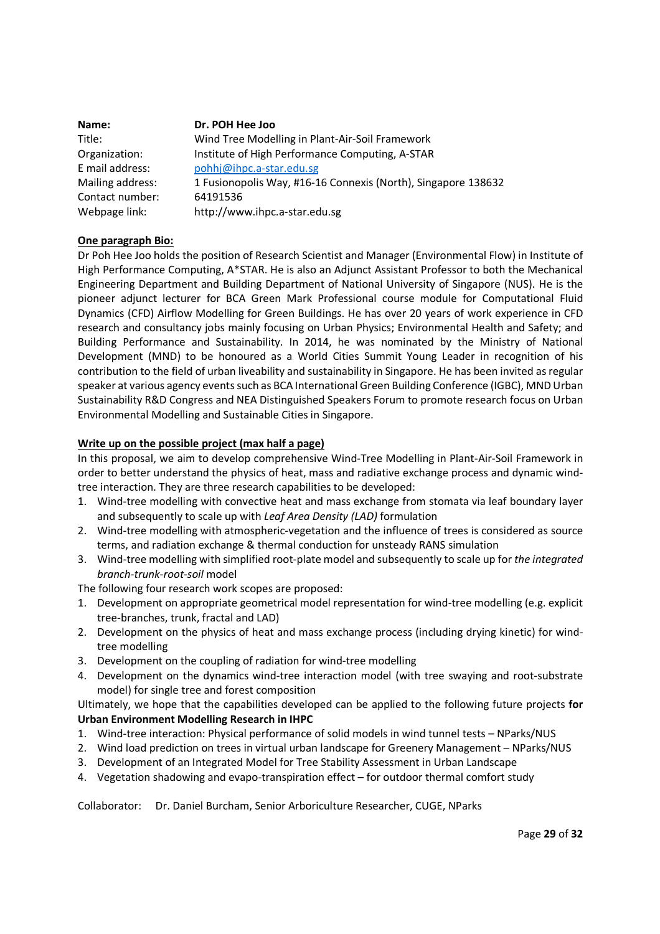| Name:            | Dr. POH Hee Joo                                               |
|------------------|---------------------------------------------------------------|
| Title:           | Wind Tree Modelling in Plant-Air-Soil Framework               |
| Organization:    | Institute of High Performance Computing, A-STAR               |
| E mail address:  | pohhj@ihpc.a-star.edu.sg                                      |
| Mailing address: | 1 Fusionopolis Way, #16-16 Connexis (North), Singapore 138632 |
| Contact number:  | 64191536                                                      |
| Webpage link:    | http://www.ihpc.a-star.edu.sg                                 |

## **One paragraph Bio:**

Dr Poh Hee Joo holds the position of Research Scientist and Manager (Environmental Flow) in Institute of High Performance Computing, A\*STAR. He is also an Adjunct Assistant Professor to both the Mechanical Engineering Department and Building Department of National University of Singapore (NUS). He is the pioneer adjunct lecturer for BCA Green Mark Professional course module for Computational Fluid Dynamics (CFD) Airflow Modelling for Green Buildings. He has over 20 years of work experience in CFD research and consultancy jobs mainly focusing on Urban Physics; Environmental Health and Safety; and Building Performance and Sustainability. In 2014, he was nominated by the Ministry of National Development (MND) to be honoured as a World Cities Summit Young Leader in recognition of his contribution to the field of urban liveability and sustainability in Singapore. He has been invited as regular speaker at various agency events such as BCA International Green Building Conference (IGBC), MND Urban Sustainability R&D Congress and NEA Distinguished Speakers Forum to promote research focus on Urban Environmental Modelling and Sustainable Cities in Singapore.

## **Write up on the possible project (max half a page)**

In this proposal, we aim to develop comprehensive Wind-Tree Modelling in Plant-Air-Soil Framework in order to better understand the physics of heat, mass and radiative exchange process and dynamic windtree interaction. They are three research capabilities to be developed:

- 1. Wind-tree modelling with convective heat and mass exchange from stomata via leaf boundary layer and subsequently to scale up with *Leaf Area Density (LAD)* formulation
- 2. Wind-tree modelling with atmospheric-vegetation and the influence of trees is considered as source terms, and radiation exchange & thermal conduction for unsteady RANS simulation
- 3. Wind-tree modelling with simplified root-plate model and subsequently to scale up for *the integrated branch-trunk-root-soil* model

The following four research work scopes are proposed:

- 1. Development on appropriate geometrical model representation for wind-tree modelling (e.g. explicit tree-branches, trunk, fractal and LAD)
- 2. Development on the physics of heat and mass exchange process (including drying kinetic) for windtree modelling
- 3. Development on the coupling of radiation for wind-tree modelling
- 4. Development on the dynamics wind-tree interaction model (with tree swaying and root-substrate model) for single tree and forest composition

Ultimately, we hope that the capabilities developed can be applied to the following future projects **for Urban Environment Modelling Research in IHPC** 

- 1. Wind-tree interaction: Physical performance of solid models in wind tunnel tests NParks/NUS
- 2. Wind load prediction on trees in virtual urban landscape for Greenery Management NParks/NUS
- 3. Development of an Integrated Model for Tree Stability Assessment in Urban Landscape
- 4. Vegetation shadowing and evapo-transpiration effect for outdoor thermal comfort study

Collaborator: Dr. Daniel Burcham, Senior Arboriculture Researcher, CUGE, NParks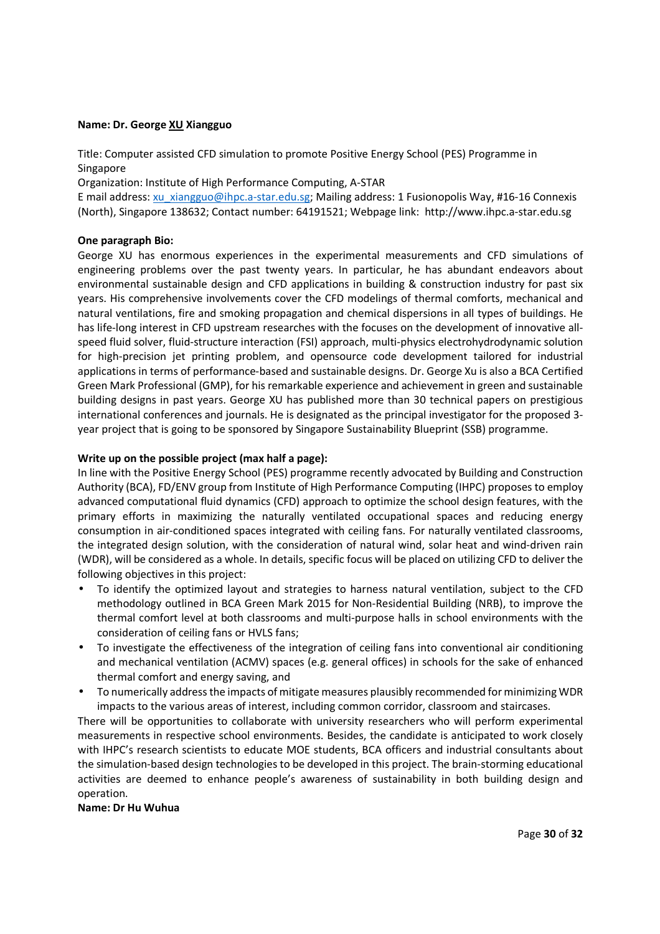#### **Name: Dr. George XU Xiangguo**

Title: Computer assisted CFD simulation to promote Positive Energy School (PES) Programme in Singapore

Organization: Institute of High Performance Computing, A-STAR

E mail address: xu\_xiangguo@ihpc.a-star.edu.sg; Mailing address: 1 Fusionopolis Way, #16-16 Connexis (North), Singapore 138632; Contact number: 64191521; Webpage link: http://www.ihpc.a-star.edu.sg

#### **One paragraph Bio:**

George XU has enormous experiences in the experimental measurements and CFD simulations of engineering problems over the past twenty years. In particular, he has abundant endeavors about environmental sustainable design and CFD applications in building & construction industry for past six years. His comprehensive involvements cover the CFD modelings of thermal comforts, mechanical and natural ventilations, fire and smoking propagation and chemical dispersions in all types of buildings. He has life-long interest in CFD upstream researches with the focuses on the development of innovative allspeed fluid solver, fluid-structure interaction (FSI) approach, multi-physics electrohydrodynamic solution for high-precision jet printing problem, and opensource code development tailored for industrial applications in terms of performance-based and sustainable designs. Dr. George Xu is also a BCA Certified Green Mark Professional (GMP), for his remarkable experience and achievement in green and sustainable building designs in past years. George XU has published more than 30 technical papers on prestigious international conferences and journals. He is designated as the principal investigator for the proposed 3 year project that is going to be sponsored by Singapore Sustainability Blueprint (SSB) programme.

#### **Write up on the possible project (max half a page):**

In line with the Positive Energy School (PES) programme recently advocated by Building and Construction Authority (BCA), FD/ENV group from Institute of High Performance Computing (IHPC) proposes to employ advanced computational fluid dynamics (CFD) approach to optimize the school design features, with the primary efforts in maximizing the naturally ventilated occupational spaces and reducing energy consumption in air-conditioned spaces integrated with ceiling fans. For naturally ventilated classrooms, the integrated design solution, with the consideration of natural wind, solar heat and wind-driven rain (WDR), will be considered as a whole. In details, specific focus will be placed on utilizing CFD to deliver the following objectives in this project:

- To identify the optimized layout and strategies to harness natural ventilation, subject to the CFD methodology outlined in BCA Green Mark 2015 for Non-Residential Building (NRB), to improve the thermal comfort level at both classrooms and multi-purpose halls in school environments with the consideration of ceiling fans or HVLS fans;
- To investigate the effectiveness of the integration of ceiling fans into conventional air conditioning and mechanical ventilation (ACMV) spaces (e.g. general offices) in schools for the sake of enhanced thermal comfort and energy saving, and
- To numerically address the impacts of mitigate measures plausibly recommended for minimizing WDR impacts to the various areas of interest, including common corridor, classroom and staircases.

There will be opportunities to collaborate with university researchers who will perform experimental measurements in respective school environments. Besides, the candidate is anticipated to work closely with IHPC's research scientists to educate MOE students, BCA officers and industrial consultants about the simulation-based design technologies to be developed in this project. The brain-storming educational activities are deemed to enhance people's awareness of sustainability in both building design and operation.

#### **Name: Dr Hu Wuhua**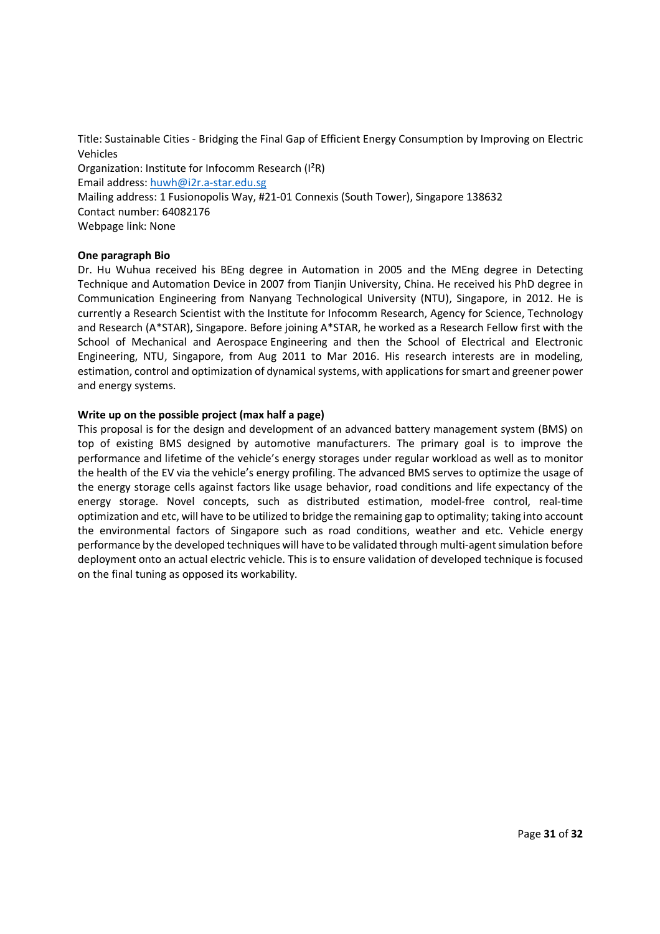Title: Sustainable Cities - Bridging the Final Gap of Efficient Energy Consumption by Improving on Electric Vehicles Organization: Institute for Infocomm Research (I²R) Email address: huwh@i2r.a-star.edu.sg Mailing address: 1 Fusionopolis Way, #21-01 Connexis (South Tower), Singapore 138632 Contact number: 64082176 Webpage link: None

## **One paragraph Bio**

Dr. Hu Wuhua received his BEng degree in Automation in 2005 and the MEng degree in Detecting Technique and Automation Device in 2007 from Tianjin University, China. He received his PhD degree in Communication Engineering from Nanyang Technological University (NTU), Singapore, in 2012. He is currently a Research Scientist with the Institute for Infocomm Research, Agency for Science, Technology and Research (A\*STAR), Singapore. Before joining A\*STAR, he worked as a Research Fellow first with the School of Mechanical and Aerospace Engineering and then the School of Electrical and Electronic Engineering, NTU, Singapore, from Aug 2011 to Mar 2016. His research interests are in modeling, estimation, control and optimization of dynamical systems, with applications for smart and greener power and energy systems.

## **Write up on the possible project (max half a page)**

This proposal is for the design and development of an advanced battery management system (BMS) on top of existing BMS designed by automotive manufacturers. The primary goal is to improve the performance and lifetime of the vehicle's energy storages under regular workload as well as to monitor the health of the EV via the vehicle's energy profiling. The advanced BMS serves to optimize the usage of the energy storage cells against factors like usage behavior, road conditions and life expectancy of the energy storage. Novel concepts, such as distributed estimation, model-free control, real-time optimization and etc, will have to be utilized to bridge the remaining gap to optimality; taking into account the environmental factors of Singapore such as road conditions, weather and etc. Vehicle energy performance by the developed techniques will have to be validated through multi-agent simulation before deployment onto an actual electric vehicle. This is to ensure validation of developed technique is focused on the final tuning as opposed its workability.